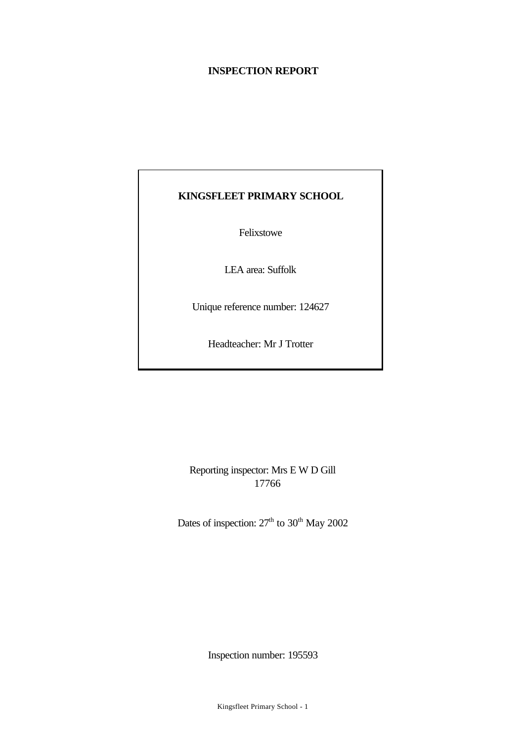# **INSPECTION REPORT**

# **KINGSFLEET PRIMARY SCHOOL**

Felixstowe

LEA area: Suffolk

Unique reference number: 124627

Headteacher: Mr J Trotter

Reporting inspector: Mrs E W D Gill 17766

Dates of inspection:  $27<sup>th</sup>$  to  $30<sup>th</sup>$  May 2002

Inspection number: 195593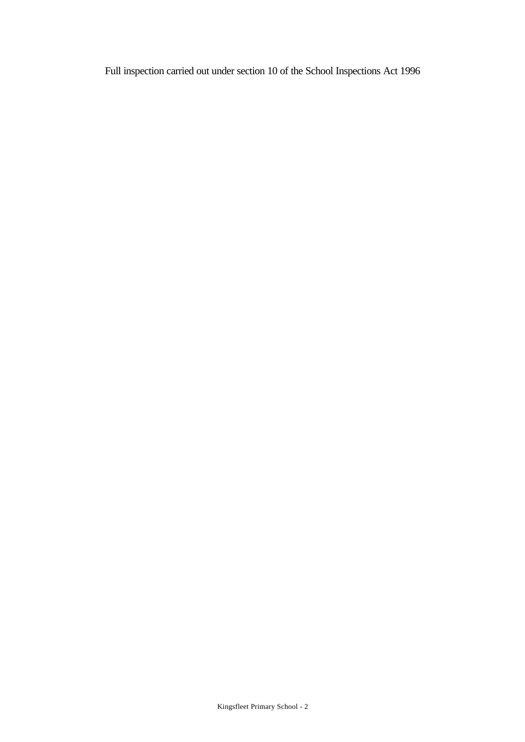Full inspection carried out under section 10 of the School Inspections Act 1996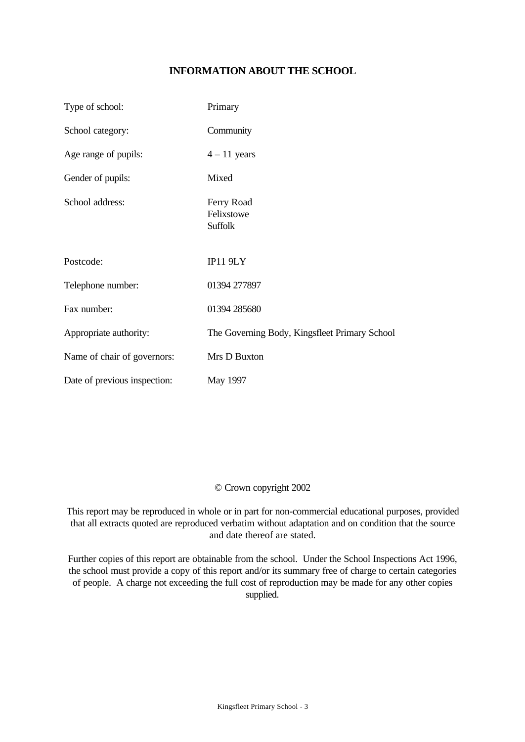# **INFORMATION ABOUT THE SCHOOL**

| Type of school:              | Primary                                       |
|------------------------------|-----------------------------------------------|
| School category:             | Community                                     |
| Age range of pupils:         | $4 - 11$ years                                |
| Gender of pupils:            | Mixed                                         |
| School address:              | Ferry Road<br>Felixstowe<br><b>Suffolk</b>    |
| Postcode:                    | IP11 9LY                                      |
| Telephone number:            | 01394 277897                                  |
| Fax number:                  | 01394 285680                                  |
| Appropriate authority:       | The Governing Body, Kingsfleet Primary School |
| Name of chair of governors:  | Mrs D Buxton                                  |
| Date of previous inspection: | May 1997                                      |

### © Crown copyright 2002

This report may be reproduced in whole or in part for non-commercial educational purposes, provided that all extracts quoted are reproduced verbatim without adaptation and on condition that the source and date thereof are stated.

Further copies of this report are obtainable from the school. Under the School Inspections Act 1996, the school must provide a copy of this report and/or its summary free of charge to certain categories of people. A charge not exceeding the full cost of reproduction may be made for any other copies supplied.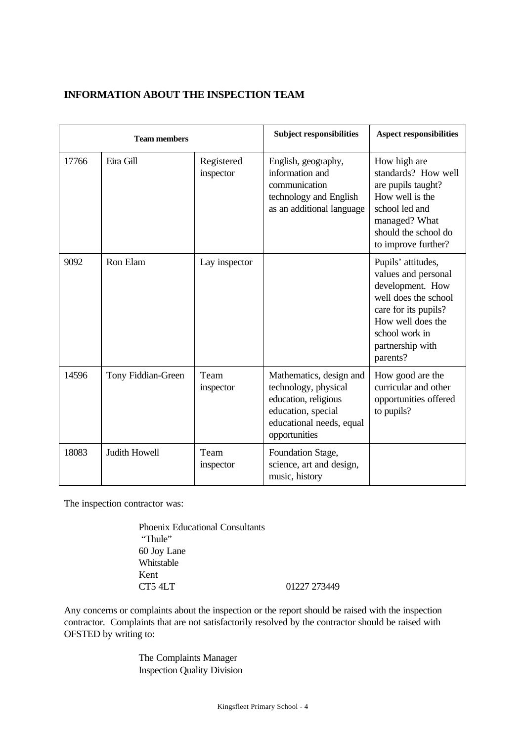# **INFORMATION ABOUT THE INSPECTION TEAM**

| <b>Team members</b> |                    |                         | <b>Subject responsibilities</b>                                                                                                            | <b>Aspect responsibilities</b>                                                                                                                                                       |
|---------------------|--------------------|-------------------------|--------------------------------------------------------------------------------------------------------------------------------------------|--------------------------------------------------------------------------------------------------------------------------------------------------------------------------------------|
| 17766               | Eira Gill          | Registered<br>inspector | English, geography,<br>information and<br>communication<br>technology and English<br>as an additional language                             | How high are<br>standards? How well<br>are pupils taught?<br>How well is the<br>school led and<br>managed? What<br>should the school do<br>to improve further?                       |
| 9092                | Ron Elam           | Lay inspector           |                                                                                                                                            | Pupils' attitudes,<br>values and personal<br>development. How<br>well does the school<br>care for its pupils?<br>How well does the<br>school work in<br>partnership with<br>parents? |
| 14596               | Tony Fiddian-Green | Team<br>inspector       | Mathematics, design and<br>technology, physical<br>education, religious<br>education, special<br>educational needs, equal<br>opportunities | How good are the<br>curricular and other<br>opportunities offered<br>to pupils?                                                                                                      |
| 18083               | Judith Howell      | Team<br>inspector       | Foundation Stage,<br>science, art and design,<br>music, history                                                                            |                                                                                                                                                                                      |

The inspection contractor was:

Phoenix Educational Consultants "Thule" 60 Joy Lane Whitstable Kent CT5 4LT 01227 273449

Any concerns or complaints about the inspection or the report should be raised with the inspection contractor. Complaints that are not satisfactorily resolved by the contractor should be raised with OFSTED by writing to:

> The Complaints Manager Inspection Quality Division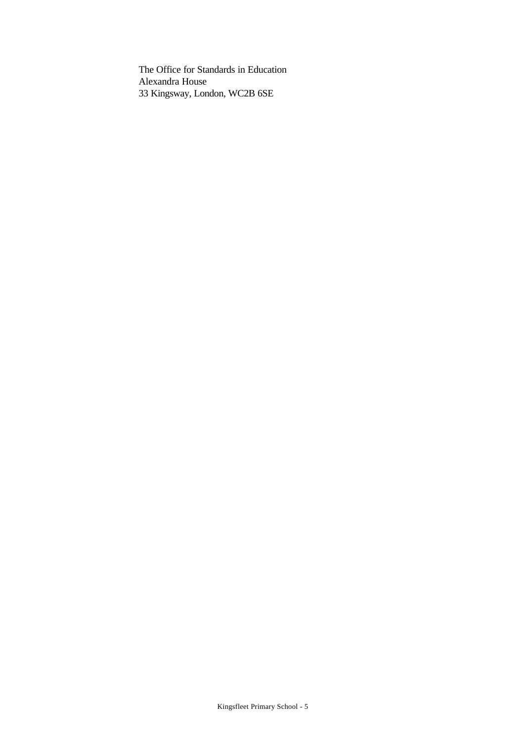The Office for Standards in Education Alexandra House 33 Kingsway, London, WC2B 6SE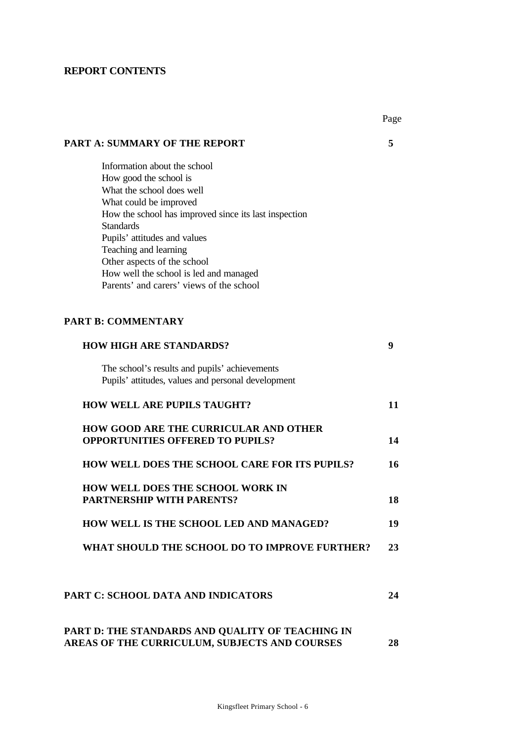# **REPORT CONTENTS**

|                                                                                         | Page |
|-----------------------------------------------------------------------------------------|------|
| <b>PART A: SUMMARY OF THE REPORT</b>                                                    | 5    |
| Information about the school                                                            |      |
| How good the school is                                                                  |      |
| What the school does well                                                               |      |
| What could be improved                                                                  |      |
| How the school has improved since its last inspection                                   |      |
| <b>Standards</b>                                                                        |      |
| Pupils' attitudes and values                                                            |      |
| Teaching and learning                                                                   |      |
| Other aspects of the school                                                             |      |
| How well the school is led and managed                                                  |      |
| Parents' and carers' views of the school                                                |      |
| <b>PART B: COMMENTARY</b>                                                               |      |
| <b>HOW HIGH ARE STANDARDS?</b>                                                          | 9    |
| The school's results and pupils' achievements                                           |      |
| Pupils' attitudes, values and personal development                                      |      |
| <b>HOW WELL ARE PUPILS TAUGHT?</b>                                                      | 11   |
| <b>HOW GOOD ARE THE CURRICULAR AND OTHER</b><br><b>OPPORTUNITIES OFFERED TO PUPILS?</b> | 14   |
| HOW WELL DOES THE SCHOOL CARE FOR ITS PUPILS?                                           | 16   |
| <b>HOW WELL DOES THE SCHOOL WORK IN</b>                                                 |      |
| <b>PARTNERSHIP WITH PARENTS?</b>                                                        | 18   |
| HOW WELL IS THE SCHOOL LED AND MANAGED?                                                 | 19   |
| WHAT SHOULD THE SCHOOL DO TO IMPROVE FURTHER?                                           | 23   |
| PART C: SCHOOL DATA AND INDICATORS                                                      | 24   |
| PART D: THE STANDARDS AND QUALITY OF TEACHING IN                                        |      |
| AREAS OF THE CURRICULUM, SUBJECTS AND COURSES                                           | 28   |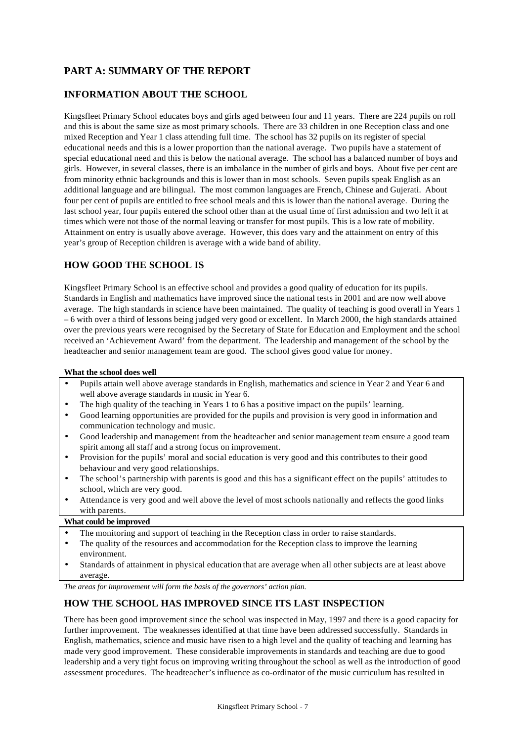# **PART A: SUMMARY OF THE REPORT**

### **INFORMATION ABOUT THE SCHOOL**

Kingsfleet Primary School educates boys and girls aged between four and 11 years. There are 224 pupils on roll and this is about the same size as most primary schools. There are 33 children in one Reception class and one mixed Reception and Year 1 class attending full time. The school has 32 pupils on its register of special educational needs and this is a lower proportion than the national average. Two pupils have a statement of special educational need and this is below the national average. The school has a balanced number of boys and girls. However, in several classes, there is an imbalance in the number of girls and boys. About five per cent are from minority ethnic backgrounds and this is lower than in most schools. Seven pupils speak English as an additional language and are bilingual. The most common languages are French, Chinese and Gujerati. About four per cent of pupils are entitled to free school meals and this is lower than the national average. During the last school year, four pupils entered the school other than at the usual time of first admission and two left it at times which were not those of the normal leaving or transfer for most pupils. This is a low rate of mobility. Attainment on entry is usually above average. However, this does vary and the attainment on entry of this year's group of Reception children is average with a wide band of ability.

# **HOW GOOD THE SCHOOL IS**

Kingsfleet Primary School is an effective school and provides a good quality of education for its pupils. Standards in English and mathematics have improved since the national tests in 2001 and are now well above average. The high standards in science have been maintained. The quality of teaching is good overall in Years 1 – 6 with over a third of lessons being judged very good or excellent. In March 2000, the high standards attained over the previous years were recognised by the Secretary of State for Education and Employment and the school received an 'Achievement Award' from the department. The leadership and management of the school by the headteacher and senior management team are good. The school gives good value for money.

### **What the school does well**

- Pupils attain well above average standards in English, mathematics and science in Year 2 and Year 6 and well above average standards in music in Year 6.
- The high quality of the teaching in Years 1 to 6 has a positive impact on the pupils' learning.
- Good learning opportunities are provided for the pupils and provision is very good in information and communication technology and music.
- Good leadership and management from the headteacher and senior management team ensure a good team spirit among all staff and a strong focus on improvement.
- Provision for the pupils' moral and social education is very good and this contributes to their good behaviour and very good relationships.
- The school's partnership with parents is good and this has a significant effect on the pupils' attitudes to school, which are very good.
- Attendance is very good and well above the level of most schools nationally and reflects the good links with parents.

### **What could be improved**

- The monitoring and support of teaching in the Reception class in order to raise standards.
- The quality of the resources and accommodation for the Reception class to improve the learning environment.
- Standards of attainment in physical education that are average when all other subjects are at least above average.

*The areas for improvement will form the basis of the governors' action plan.*

# **HOW THE SCHOOL HAS IMPROVED SINCE ITS LAST INSPECTION**

There has been good improvement since the school was inspected in May, 1997 and there is a good capacity for further improvement. The weaknesses identified at that time have been addressed successfully. Standards in English, mathematics, science and music have risen to a high level and the quality of teaching and learning has made very good improvement. These considerable improvements in standards and teaching are due to good leadership and a very tight focus on improving writing throughout the school as well as the introduction of good assessment procedures. The headteacher's influence as co-ordinator of the music curriculum has resulted in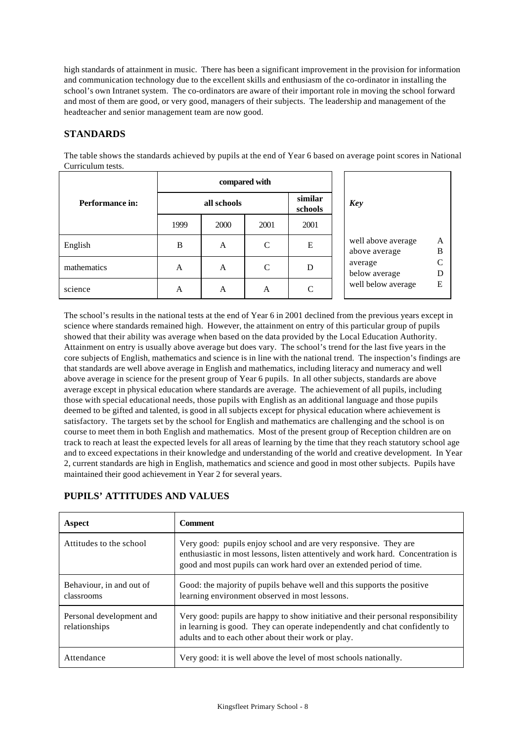high standards of attainment in music. There has been a significant improvement in the provision for information and communication technology due to the excellent skills and enthusiasm of the co-ordinator in installing the school's own Intranet system. The co-ordinators are aware of their important role in moving the school forward and most of them are good, or very good, managers of their subjects. The leadership and management of the headteacher and senior management team are now good.

### **STANDARDS**

The table shows the standards achieved by pupils at the end of Year 6 based on average point scores in National Curriculum tests.

|                 |      |             | compared with |                    |                                     |        |
|-----------------|------|-------------|---------------|--------------------|-------------------------------------|--------|
| Performance in: |      | all schools |               | similar<br>schools | <b>Key</b>                          |        |
|                 | 1999 | 2000        | 2001          | 2001               |                                     |        |
| English         | B    | A           | C             | E                  | well above average<br>above average | A<br>B |
| mathematics     | A    | A           | C             | D                  | average<br>below average            |        |
| science         | A    | A           | A             | C                  | well below average                  | E      |

The school's results in the national tests at the end of Year 6 in 2001 declined from the previous years except in science where standards remained high. However, the attainment on entry of this particular group of pupils showed that their ability was average when based on the data provided by the Local Education Authority. Attainment on entry is usually above average but does vary. The school's trend for the last five years in the core subjects of English, mathematics and science is in line with the national trend. The inspection's findings are that standards are well above average in English and mathematics, including literacy and numeracy and well above average in science for the present group of Year 6 pupils. In all other subjects, standards are above average except in physical education where standards are average. The achievement of all pupils, including those with special educational needs, those pupils with English as an additional language and those pupils deemed to be gifted and talented, is good in all subjects except for physical education where achievement is satisfactory. The targets set by the school for English and mathematics are challenging and the school is on course to meet them in both English and mathematics. Most of the present group of Reception children are on track to reach at least the expected levels for all areas of learning by the time that they reach statutory school age and to exceed expectations in their knowledge and understanding of the world and creative development. In Year 2, current standards are high in English, mathematics and science and good in most other subjects. Pupils have maintained their good achievement in Year 2 for several years.

| Aspect                                    | <b>Comment</b>                                                                                                                                                                                                              |  |
|-------------------------------------------|-----------------------------------------------------------------------------------------------------------------------------------------------------------------------------------------------------------------------------|--|
| Attitudes to the school                   | Very good: pupils enjoy school and are very responsive. They are<br>enthusiastic in most lessons, listen attentively and work hard. Concentration is<br>good and most pupils can work hard over an extended period of time. |  |
| Behaviour, in and out of<br>classrooms    | Good: the majority of pupils behave well and this supports the positive<br>learning environment observed in most lessons.                                                                                                   |  |
| Personal development and<br>relationships | Very good: pupils are happy to show initiative and their personal responsibility<br>in learning is good. They can operate independently and chat confidently to<br>adults and to each other about their work or play.       |  |
| Attendance                                | Very good: it is well above the level of most schools nationally.                                                                                                                                                           |  |

# **PUPILS' ATTITUDES AND VALUES**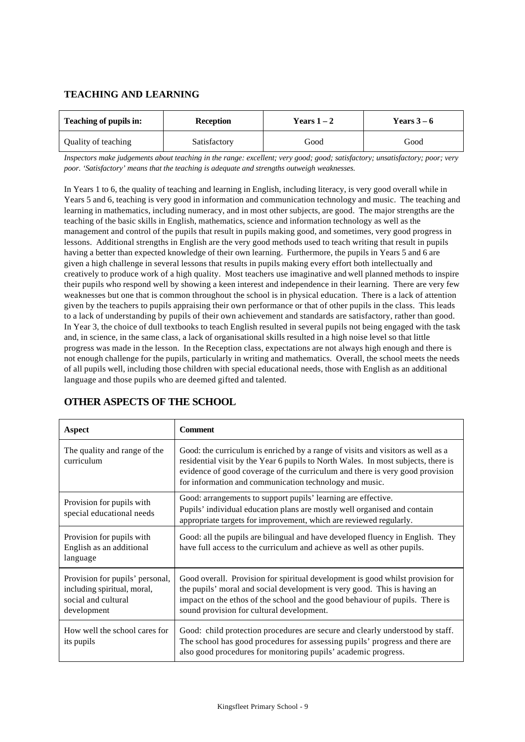### **TEACHING AND LEARNING**

| <b>Teaching of pupils in:</b> | <b>Reception</b> | Years $1-2$ | Years $3-6$ |
|-------------------------------|------------------|-------------|-------------|
| Quality of teaching           | Satisfactory     | Good        | Good        |

*Inspectors make judgements about teaching in the range: excellent; very good; good; satisfactory; unsatisfactory; poor; very poor. 'Satisfactory' means that the teaching is adequate and strengths outweigh weaknesses.*

In Years 1 to 6, the quality of teaching and learning in English, including literacy, is very good overall while in Years 5 and 6, teaching is very good in information and communication technology and music. The teaching and learning in mathematics, including numeracy, and in most other subjects, are good. The major strengths are the teaching of the basic skills in English, mathematics, science and information technology as well as the management and control of the pupils that result in pupils making good, and sometimes, very good progress in lessons. Additional strengths in English are the very good methods used to teach writing that result in pupils having a better than expected knowledge of their own learning. Furthermore, the pupils in Years 5 and 6 are given a high challenge in several lessons that results in pupils making every effort both intellectually and creatively to produce work of a high quality. Most teachers use imaginative and well planned methods to inspire their pupils who respond well by showing a keen interest and independence in their learning. There are very few weaknesses but one that is common throughout the school is in physical education. There is a lack of attention given by the teachers to pupils appraising their own performance or that of other pupils in the class. This leads to a lack of understanding by pupils of their own achievement and standards are satisfactory, rather than good. In Year 3, the choice of dull textbooks to teach English resulted in several pupils not being engaged with the task and, in science, in the same class, a lack of organisational skills resulted in a high noise level so that little progress was made in the lesson. In the Reception class, expectations are not always high enough and there is not enough challenge for the pupils, particularly in writing and mathematics. Overall, the school meets the needs of all pupils well, including those children with special educational needs, those with English as an additional language and those pupils who are deemed gifted and talented.

| Aspect                                                                                               | <b>Comment</b>                                                                                                                                                                                                                                                                                                  |
|------------------------------------------------------------------------------------------------------|-----------------------------------------------------------------------------------------------------------------------------------------------------------------------------------------------------------------------------------------------------------------------------------------------------------------|
| The quality and range of the<br>curriculum                                                           | Good: the curriculum is enriched by a range of visits and visitors as well as a<br>residential visit by the Year 6 pupils to North Wales. In most subjects, there is<br>evidence of good coverage of the curriculum and there is very good provision<br>for information and communication technology and music. |
| Provision for pupils with<br>special educational needs                                               | Good: arrangements to support pupils' learning are effective.<br>Pupils' individual education plans are mostly well organised and contain<br>appropriate targets for improvement, which are reviewed regularly.                                                                                                 |
| Provision for pupils with<br>English as an additional<br>language                                    | Good: all the pupils are bilingual and have developed fluency in English. They<br>have full access to the curriculum and achieve as well as other pupils.                                                                                                                                                       |
| Provision for pupils' personal,<br>including spiritual, moral,<br>social and cultural<br>development | Good overall. Provision for spiritual development is good whilst provision for<br>the pupils' moral and social development is very good. This is having an<br>impact on the ethos of the school and the good behaviour of pupils. There is<br>sound provision for cultural development.                         |
| How well the school cares for<br>its pupils                                                          | Good: child protection procedures are secure and clearly understood by staff.<br>The school has good procedures for assessing pupils' progress and there are<br>also good procedures for monitoring pupils' academic progress.                                                                                  |

# **OTHER ASPECTS OF THE SCHOOL**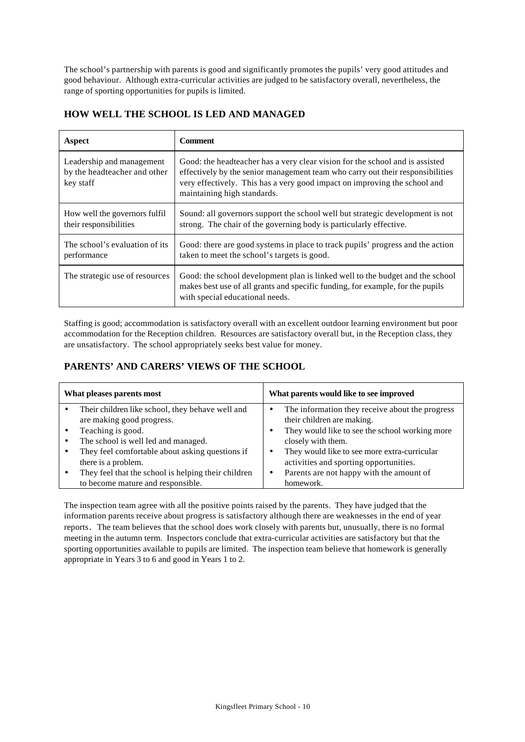The school's partnership with parents is good and significantly promotes the pupils' very good attitudes and good behaviour. Although extra-curricular activities are judged to be satisfactory overall, nevertheless, the range of sporting opportunities for pupils is limited.

| Aspect                                                                 | <b>Comment</b>                                                                                                                                                                                                                                                             |
|------------------------------------------------------------------------|----------------------------------------------------------------------------------------------------------------------------------------------------------------------------------------------------------------------------------------------------------------------------|
| Leadership and management<br>by the headteacher and other<br>key staff | Good: the headteacher has a very clear vision for the school and is assisted<br>effectively by the senior management team who carry out their responsibilities<br>very effectively. This has a very good impact on improving the school and<br>maintaining high standards. |
| How well the governors fulfil<br>their responsibilities                | Sound: all governors support the school well but strategic development is not<br>strong. The chair of the governing body is particularly effective.                                                                                                                        |
| The school's evaluation of its<br>performance                          | Good: there are good systems in place to track pupils' progress and the action<br>taken to meet the school's targets is good.                                                                                                                                              |
| The strategic use of resources                                         | Good: the school development plan is linked well to the budget and the school<br>makes best use of all grants and specific funding, for example, for the pupils<br>with special educational needs.                                                                         |

### **HOW WELL THE SCHOOL IS LED AND MANAGED**

Staffing is good; accommodation is satisfactory overall with an excellent outdoor learning environment but poor accommodation for the Reception children. Resources are satisfactory overall but, in the Reception class, they are unsatisfactory. The school appropriately seeks best value for money.

# **PARENTS' AND CARERS' VIEWS OF THE SCHOOL**

| What pleases parents most |                                                                                          | What parents would like to see improved |                                                                                        |  |
|---------------------------|------------------------------------------------------------------------------------------|-----------------------------------------|----------------------------------------------------------------------------------------|--|
|                           | Their children like school, they behave well and<br>are making good progress.            |                                         | The information they receive about the progress<br>their children are making.          |  |
|                           | Teaching is good.<br>The school is well led and managed.                                 |                                         | They would like to see the school working more<br>closely with them.                   |  |
|                           | They feel comfortable about asking questions if<br>there is a problem.                   |                                         | They would like to see more extra-curricular<br>activities and sporting opportunities. |  |
|                           | They feel that the school is helping their children<br>to become mature and responsible. |                                         | Parents are not happy with the amount of<br>homework.                                  |  |

The inspection team agree with all the positive points raised by the parents. They have judged that the information parents receive about progress is satisfactory although there are weaknesses in the end of year reports. The team believes that the school does work closely with parents but, unusually, there is no formal meeting in the autumn term. Inspectors conclude that extra-curricular activities are satisfactory but that the sporting opportunities available to pupils are limited. The inspection team believe that homework is generally appropriate in Years 3 to 6 and good in Years 1 to 2.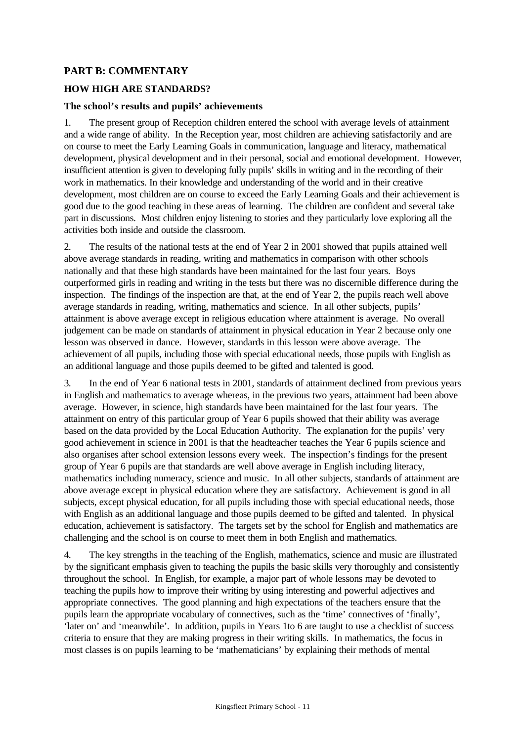# **PART B: COMMENTARY**

### **HOW HIGH ARE STANDARDS?**

### **The school's results and pupils' achievements**

1. The present group of Reception children entered the school with average levels of attainment and a wide range of ability. In the Reception year, most children are achieving satisfactorily and are on course to meet the Early Learning Goals in communication, language and literacy, mathematical development, physical development and in their personal, social and emotional development. However, insufficient attention is given to developing fully pupils' skills in writing and in the recording of their work in mathematics. In their knowledge and understanding of the world and in their creative development, most children are on course to exceed the Early Learning Goals and their achievement is good due to the good teaching in these areas of learning. The children are confident and several take part in discussions. Most children enjoy listening to stories and they particularly love exploring all the activities both inside and outside the classroom.

2. The results of the national tests at the end of Year 2 in 2001 showed that pupils attained well above average standards in reading, writing and mathematics in comparison with other schools nationally and that these high standards have been maintained for the last four years. Boys outperformed girls in reading and writing in the tests but there was no discernible difference during the inspection. The findings of the inspection are that, at the end of Year 2, the pupils reach well above average standards in reading, writing, mathematics and science. In all other subjects, pupils' attainment is above average except in religious education where attainment is average. No overall judgement can be made on standards of attainment in physical education in Year 2 because only one lesson was observed in dance. However, standards in this lesson were above average. The achievement of all pupils, including those with special educational needs, those pupils with English as an additional language and those pupils deemed to be gifted and talented is good.

3. In the end of Year 6 national tests in 2001, standards of attainment declined from previous years in English and mathematics to average whereas, in the previous two years, attainment had been above average. However, in science, high standards have been maintained for the last four years. The attainment on entry of this particular group of Year 6 pupils showed that their ability was average based on the data provided by the Local Education Authority. The explanation for the pupils' very good achievement in science in 2001 is that the headteacher teaches the Year 6 pupils science and also organises after school extension lessons every week. The inspection's findings for the present group of Year 6 pupils are that standards are well above average in English including literacy, mathematics including numeracy, science and music. In all other subjects, standards of attainment are above average except in physical education where they are satisfactory. Achievement is good in all subjects, except physical education, for all pupils including those with special educational needs, those with English as an additional language and those pupils deemed to be gifted and talented. In physical education, achievement is satisfactory. The targets set by the school for English and mathematics are challenging and the school is on course to meet them in both English and mathematics.

4. The key strengths in the teaching of the English, mathematics, science and music are illustrated by the significant emphasis given to teaching the pupils the basic skills very thoroughly and consistently throughout the school. In English, for example, a major part of whole lessons may be devoted to teaching the pupils how to improve their writing by using interesting and powerful adjectives and appropriate connectives. The good planning and high expectations of the teachers ensure that the pupils learn the appropriate vocabulary of connectives, such as the 'time' connectives of 'finally', 'later on' and 'meanwhile'. In addition, pupils in Years 1to 6 are taught to use a checklist of success criteria to ensure that they are making progress in their writing skills. In mathematics, the focus in most classes is on pupils learning to be 'mathematicians' by explaining their methods of mental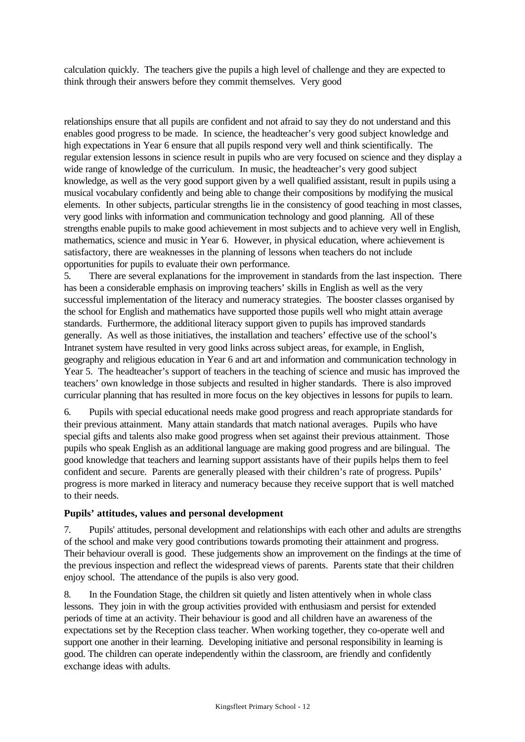calculation quickly. The teachers give the pupils a high level of challenge and they are expected to think through their answers before they commit themselves. Very good

relationships ensure that all pupils are confident and not afraid to say they do not understand and this enables good progress to be made. In science, the headteacher's very good subject knowledge and high expectations in Year 6 ensure that all pupils respond very well and think scientifically. The regular extension lessons in science result in pupils who are very focused on science and they display a wide range of knowledge of the curriculum. In music, the headteacher's very good subject knowledge, as well as the very good support given by a well qualified assistant, result in pupils using a musical vocabulary confidently and being able to change their compositions by modifying the musical elements. In other subjects, particular strengths lie in the consistency of good teaching in most classes, very good links with information and communication technology and good planning. All of these strengths enable pupils to make good achievement in most subjects and to achieve very well in English, mathematics, science and music in Year 6. However, in physical education, where achievement is satisfactory, there are weaknesses in the planning of lessons when teachers do not include opportunities for pupils to evaluate their own performance.

5. There are several explanations for the improvement in standards from the last inspection. There has been a considerable emphasis on improving teachers' skills in English as well as the very successful implementation of the literacy and numeracy strategies. The booster classes organised by the school for English and mathematics have supported those pupils well who might attain average standards. Furthermore, the additional literacy support given to pupils has improved standards generally. As well as those initiatives, the installation and teachers' effective use of the school's Intranet system have resulted in very good links across subject areas, for example, in English, geography and religious education in Year 6 and art and information and communication technology in Year 5. The headteacher's support of teachers in the teaching of science and music has improved the teachers' own knowledge in those subjects and resulted in higher standards. There is also improved curricular planning that has resulted in more focus on the key objectives in lessons for pupils to learn.

6. Pupils with special educational needs make good progress and reach appropriate standards for their previous attainment. Many attain standards that match national averages. Pupils who have special gifts and talents also make good progress when set against their previous attainment. Those pupils who speak English as an additional language are making good progress and are bilingual. The good knowledge that teachers and learning support assistants have of their pupils helps them to feel confident and secure. Parents are generally pleased with their children's rate of progress. Pupils' progress is more marked in literacy and numeracy because they receive support that is well matched to their needs.

### **Pupils' attitudes, values and personal development**

7. Pupils' attitudes, personal development and relationships with each other and adults are strengths of the school and make very good contributions towards promoting their attainment and progress. Their behaviour overall is good. These judgements show an improvement on the findings at the time of the previous inspection and reflect the widespread views of parents. Parents state that their children enjoy school. The attendance of the pupils is also very good.

8. In the Foundation Stage, the children sit quietly and listen attentively when in whole class lessons. They join in with the group activities provided with enthusiasm and persist for extended periods of time at an activity. Their behaviour is good and all children have an awareness of the expectations set by the Reception class teacher. When working together, they co-operate well and support one another in their learning. Developing initiative and personal responsibility in learning is good. The children can operate independently within the classroom, are friendly and confidently exchange ideas with adults.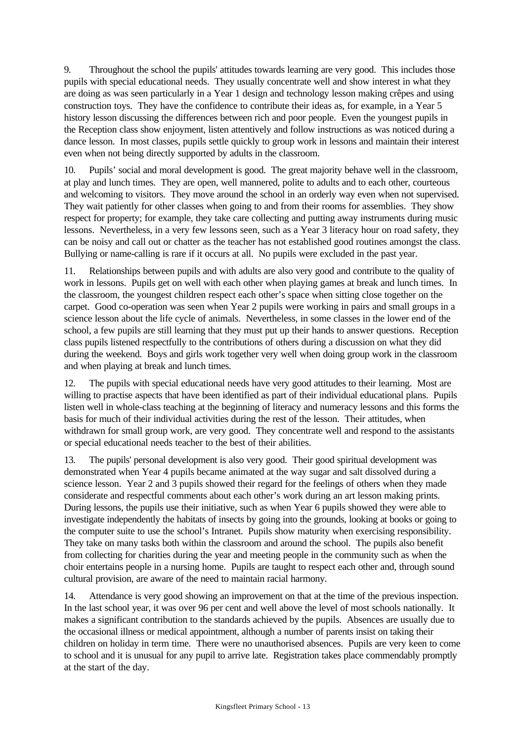9. Throughout the school the pupils' attitudes towards learning are very good. This includes those pupils with special educational needs. They usually concentrate well and show interest in what they are doing as was seen particularly in a Year 1 design and technology lesson making crêpes and using construction toys. They have the confidence to contribute their ideas as, for example, in a Year 5 history lesson discussing the differences between rich and poor people. Even the youngest pupils in the Reception class show enjoyment, listen attentively and follow instructions as was noticed during a dance lesson. In most classes, pupils settle quickly to group work in lessons and maintain their interest even when not being directly supported by adults in the classroom.

10. Pupils' social and moral development is good. The great majority behave well in the classroom, at play and lunch times. They are open, well mannered, polite to adults and to each other, courteous and welcoming to visitors. They move around the school in an orderly way even when not supervised. They wait patiently for other classes when going to and from their rooms for assemblies. They show respect for property; for example, they take care collecting and putting away instruments during music lessons. Nevertheless, in a very few lessons seen, such as a Year 3 literacy hour on road safety, they can be noisy and call out or chatter as the teacher has not established good routines amongst the class. Bullying or name-calling is rare if it occurs at all. No pupils were excluded in the past year.

11. Relationships between pupils and with adults are also very good and contribute to the quality of work in lessons. Pupils get on well with each other when playing games at break and lunch times. In the classroom, the youngest children respect each other's space when sitting close together on the carpet. Good co-operation was seen when Year 2 pupils were working in pairs and small groups in a science lesson about the life cycle of animals. Nevertheless, in some classes in the lower end of the school, a few pupils are still learning that they must put up their hands to answer questions. Reception class pupils listened respectfully to the contributions of others during a discussion on what they did during the weekend. Boys and girls work together very well when doing group work in the classroom and when playing at break and lunch times.

12. The pupils with special educational needs have very good attitudes to their learning. Most are willing to practise aspects that have been identified as part of their individual educational plans. Pupils listen well in whole-class teaching at the beginning of literacy and numeracy lessons and this forms the basis for much of their individual activities during the rest of the lesson. Their attitudes, when withdrawn for small group work, are very good. They concentrate well and respond to the assistants or special educational needs teacher to the best of their abilities.

13. The pupils' personal development is also very good. Their good spiritual development was demonstrated when Year 4 pupils became animated at the way sugar and salt dissolved during a science lesson. Year 2 and 3 pupils showed their regard for the feelings of others when they made considerate and respectful comments about each other's work during an art lesson making prints. During lessons, the pupils use their initiative, such as when Year 6 pupils showed they were able to investigate independently the habitats of insects by going into the grounds, looking at books or going to the computer suite to use the school's Intranet. Pupils show maturity when exercising responsibility. They take on many tasks both within the classroom and around the school. The pupils also benefit from collecting for charities during the year and meeting people in the community such as when the choir entertains people in a nursing home. Pupils are taught to respect each other and, through sound cultural provision, are aware of the need to maintain racial harmony.

14. Attendance is very good showing an improvement on that at the time of the previous inspection. In the last school year, it was over 96 per cent and well above the level of most schools nationally. It makes a significant contribution to the standards achieved by the pupils. Absences are usually due to the occasional illness or medical appointment, although a number of parents insist on taking their children on holiday in term time. There were no unauthorised absences. Pupils are very keen to come to school and it is unusual for any pupil to arrive late. Registration takes place commendably promptly at the start of the day.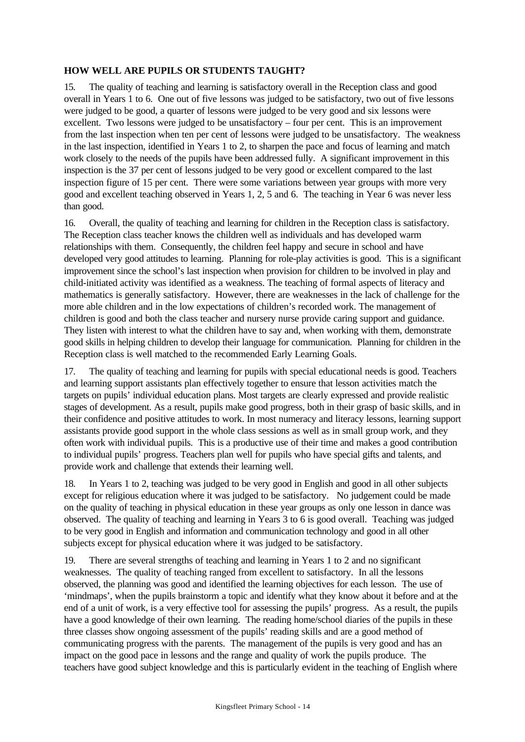### **HOW WELL ARE PUPILS OR STUDENTS TAUGHT?**

15. The quality of teaching and learning is satisfactory overall in the Reception class and good overall in Years 1 to 6. One out of five lessons was judged to be satisfactory, two out of five lessons were judged to be good, a quarter of lessons were judged to be very good and six lessons were excellent. Two lessons were judged to be unsatisfactory – four per cent. This is an improvement from the last inspection when ten per cent of lessons were judged to be unsatisfactory. The weakness in the last inspection, identified in Years 1 to 2, to sharpen the pace and focus of learning and match work closely to the needs of the pupils have been addressed fully. A significant improvement in this inspection is the 37 per cent of lessons judged to be very good or excellent compared to the last inspection figure of 15 per cent. There were some variations between year groups with more very good and excellent teaching observed in Years 1, 2, 5 and 6. The teaching in Year 6 was never less than good.

16. Overall, the quality of teaching and learning for children in the Reception class is satisfactory. The Reception class teacher knows the children well as individuals and has developed warm relationships with them. Consequently, the children feel happy and secure in school and have developed very good attitudes to learning. Planning for role-play activities is good. This is a significant improvement since the school's last inspection when provision for children to be involved in play and child-initiated activity was identified as a weakness. The teaching of formal aspects of literacy and mathematics is generally satisfactory. However, there are weaknesses in the lack of challenge for the more able children and in the low expectations of children's recorded work. The management of children is good and both the class teacher and nursery nurse provide caring support and guidance. They listen with interest to what the children have to say and, when working with them, demonstrate good skills in helping children to develop their language for communication. Planning for children in the Reception class is well matched to the recommended Early Learning Goals.

17. The quality of teaching and learning for pupils with special educational needs is good. Teachers and learning support assistants plan effectively together to ensure that lesson activities match the targets on pupils' individual education plans. Most targets are clearly expressed and provide realistic stages of development. As a result, pupils make good progress, both in their grasp of basic skills, and in their confidence and positive attitudes to work. In most numeracy and literacy lessons, learning support assistants provide good support in the whole class sessions as well as in small group work, and they often work with individual pupils. This is a productive use of their time and makes a good contribution to individual pupils' progress. Teachers plan well for pupils who have special gifts and talents, and provide work and challenge that extends their learning well.

18. In Years 1 to 2, teaching was judged to be very good in English and good in all other subjects except for religious education where it was judged to be satisfactory. No judgement could be made on the quality of teaching in physical education in these year groups as only one lesson in dance was observed. The quality of teaching and learning in Years 3 to 6 is good overall. Teaching was judged to be very good in English and information and communication technology and good in all other subjects except for physical education where it was judged to be satisfactory.

19. There are several strengths of teaching and learning in Years 1 to 2 and no significant weaknesses. The quality of teaching ranged from excellent to satisfactory. In all the lessons observed, the planning was good and identified the learning objectives for each lesson. The use of 'mindmaps', when the pupils brainstorm a topic and identify what they know about it before and at the end of a unit of work, is a very effective tool for assessing the pupils' progress. As a result, the pupils have a good knowledge of their own learning. The reading home/school diaries of the pupils in these three classes show ongoing assessment of the pupils' reading skills and are a good method of communicating progress with the parents. The management of the pupils is very good and has an impact on the good pace in lessons and the range and quality of work the pupils produce. The teachers have good subject knowledge and this is particularly evident in the teaching of English where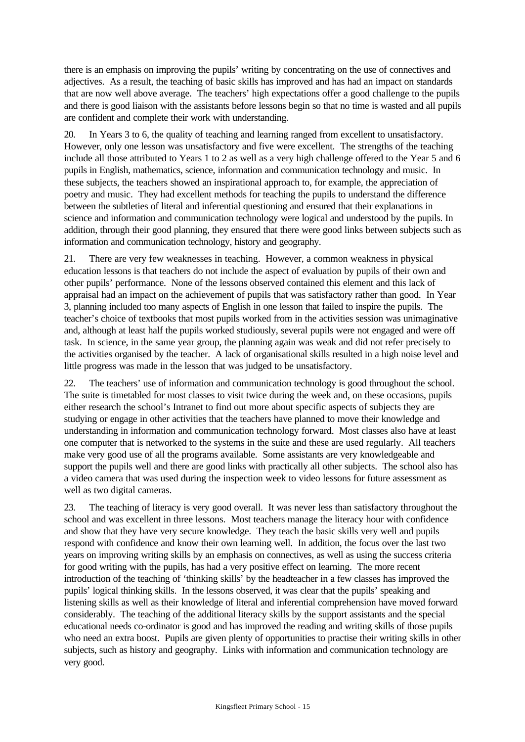there is an emphasis on improving the pupils' writing by concentrating on the use of connectives and adjectives. As a result, the teaching of basic skills has improved and has had an impact on standards that are now well above average. The teachers' high expectations offer a good challenge to the pupils and there is good liaison with the assistants before lessons begin so that no time is wasted and all pupils are confident and complete their work with understanding.

20. In Years 3 to 6, the quality of teaching and learning ranged from excellent to unsatisfactory. However, only one lesson was unsatisfactory and five were excellent. The strengths of the teaching include all those attributed to Years 1 to 2 as well as a very high challenge offered to the Year 5 and 6 pupils in English, mathematics, science, information and communication technology and music. In these subjects, the teachers showed an inspirational approach to, for example, the appreciation of poetry and music. They had excellent methods for teaching the pupils to understand the difference between the subtleties of literal and inferential questioning and ensured that their explanations in science and information and communication technology were logical and understood by the pupils. In addition, through their good planning, they ensured that there were good links between subjects such as information and communication technology, history and geography.

21. There are very few weaknesses in teaching. However, a common weakness in physical education lessons is that teachers do not include the aspect of evaluation by pupils of their own and other pupils' performance. None of the lessons observed contained this element and this lack of appraisal had an impact on the achievement of pupils that was satisfactory rather than good. In Year 3, planning included too many aspects of English in one lesson that failed to inspire the pupils. The teacher's choice of textbooks that most pupils worked from in the activities session was unimaginative and, although at least half the pupils worked studiously, several pupils were not engaged and were off task. In science, in the same year group, the planning again was weak and did not refer precisely to the activities organised by the teacher. A lack of organisational skills resulted in a high noise level and little progress was made in the lesson that was judged to be unsatisfactory.

22. The teachers' use of information and communication technology is good throughout the school. The suite is timetabled for most classes to visit twice during the week and, on these occasions, pupils either research the school's Intranet to find out more about specific aspects of subjects they are studying or engage in other activities that the teachers have planned to move their knowledge and understanding in information and communication technology forward. Most classes also have at least one computer that is networked to the systems in the suite and these are used regularly. All teachers make very good use of all the programs available. Some assistants are very knowledgeable and support the pupils well and there are good links with practically all other subjects. The school also has a video camera that was used during the inspection week to video lessons for future assessment as well as two digital cameras.

23. The teaching of literacy is very good overall. It was never less than satisfactory throughout the school and was excellent in three lessons. Most teachers manage the literacy hour with confidence and show that they have very secure knowledge. They teach the basic skills very well and pupils respond with confidence and know their own learning well. In addition, the focus over the last two years on improving writing skills by an emphasis on connectives, as well as using the success criteria for good writing with the pupils, has had a very positive effect on learning. The more recent introduction of the teaching of 'thinking skills' by the headteacher in a few classes has improved the pupils' logical thinking skills. In the lessons observed, it was clear that the pupils' speaking and listening skills as well as their knowledge of literal and inferential comprehension have moved forward considerably. The teaching of the additional literacy skills by the support assistants and the special educational needs co-ordinator is good and has improved the reading and writing skills of those pupils who need an extra boost. Pupils are given plenty of opportunities to practise their writing skills in other subjects, such as history and geography. Links with information and communication technology are very good.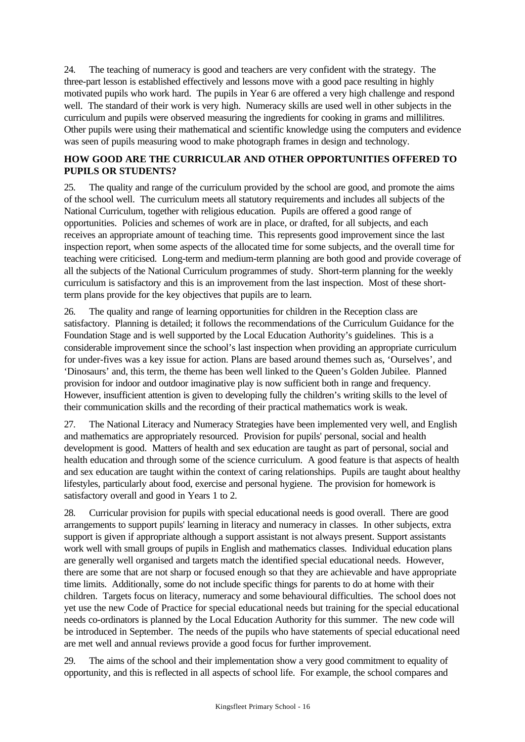24. The teaching of numeracy is good and teachers are very confident with the strategy. The three-part lesson is established effectively and lessons move with a good pace resulting in highly motivated pupils who work hard. The pupils in Year 6 are offered a very high challenge and respond well. The standard of their work is very high. Numeracy skills are used well in other subjects in the curriculum and pupils were observed measuring the ingredients for cooking in grams and millilitres. Other pupils were using their mathematical and scientific knowledge using the computers and evidence was seen of pupils measuring wood to make photograph frames in design and technology.

# **HOW GOOD ARE THE CURRICULAR AND OTHER OPPORTUNITIES OFFERED TO PUPILS OR STUDENTS?**

25. The quality and range of the curriculum provided by the school are good, and promote the aims of the school well. The curriculum meets all statutory requirements and includes all subjects of the National Curriculum, together with religious education. Pupils are offered a good range of opportunities. Policies and schemes of work are in place, or drafted, for all subjects, and each receives an appropriate amount of teaching time. This represents good improvement since the last inspection report, when some aspects of the allocated time for some subjects, and the overall time for teaching were criticised. Long-term and medium-term planning are both good and provide coverage of all the subjects of the National Curriculum programmes of study. Short-term planning for the weekly curriculum is satisfactory and this is an improvement from the last inspection. Most of these shortterm plans provide for the key objectives that pupils are to learn.

26. The quality and range of learning opportunities for children in the Reception class are satisfactory. Planning is detailed; it follows the recommendations of the Curriculum Guidance for the Foundation Stage and is well supported by the Local Education Authority's guidelines. This is a considerable improvement since the school's last inspection when providing an appropriate curriculum for under-fives was a key issue for action. Plans are based around themes such as, 'Ourselves', and 'Dinosaurs' and, this term, the theme has been well linked to the Queen's Golden Jubilee. Planned provision for indoor and outdoor imaginative play is now sufficient both in range and frequency. However, insufficient attention is given to developing fully the children's writing skills to the level of their communication skills and the recording of their practical mathematics work is weak.

27. The National Literacy and Numeracy Strategies have been implemented very well, and English and mathematics are appropriately resourced. Provision for pupils' personal, social and health development is good. Matters of health and sex education are taught as part of personal, social and health education and through some of the science curriculum. A good feature is that aspects of health and sex education are taught within the context of caring relationships. Pupils are taught about healthy lifestyles, particularly about food, exercise and personal hygiene. The provision for homework is satisfactory overall and good in Years 1 to 2.

28. Curricular provision for pupils with special educational needs is good overall. There are good arrangements to support pupils' learning in literacy and numeracy in classes. In other subjects, extra support is given if appropriate although a support assistant is not always present. Support assistants work well with small groups of pupils in English and mathematics classes. Individual education plans are generally well organised and targets match the identified special educational needs. However, there are some that are not sharp or focused enough so that they are achievable and have appropriate time limits. Additionally, some do not include specific things for parents to do at home with their children. Targets focus on literacy, numeracy and some behavioural difficulties. The school does not yet use the new Code of Practice for special educational needs but training for the special educational needs co-ordinators is planned by the Local Education Authority for this summer. The new code will be introduced in September. The needs of the pupils who have statements of special educational need are met well and annual reviews provide a good focus for further improvement.

29. The aims of the school and their implementation show a very good commitment to equality of opportunity, and this is reflected in all aspects of school life. For example, the school compares and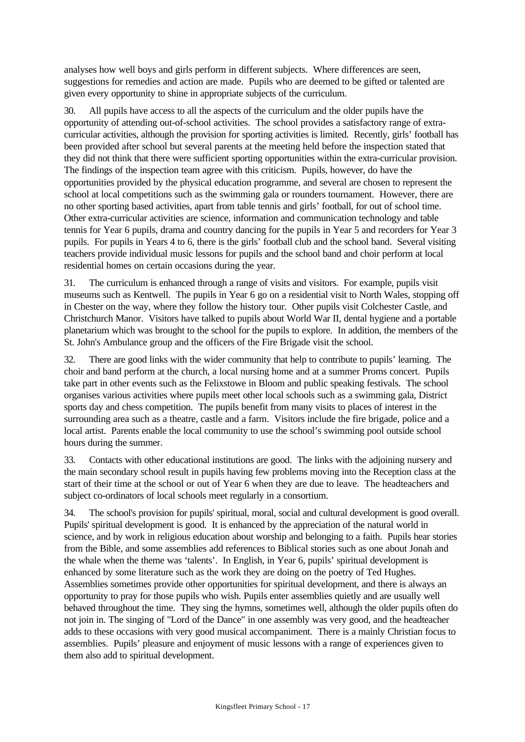analyses how well boys and girls perform in different subjects. Where differences are seen, suggestions for remedies and action are made. Pupils who are deemed to be gifted or talented are given every opportunity to shine in appropriate subjects of the curriculum.

30. All pupils have access to all the aspects of the curriculum and the older pupils have the opportunity of attending out-of-school activities. The school provides a satisfactory range of extracurricular activities, although the provision for sporting activities is limited. Recently, girls' football has been provided after school but several parents at the meeting held before the inspection stated that they did not think that there were sufficient sporting opportunities within the extra-curricular provision. The findings of the inspection team agree with this criticism. Pupils, however, do have the opportunities provided by the physical education programme, and several are chosen to represent the school at local competitions such as the swimming gala or rounders tournament. However, there are no other sporting based activities, apart from table tennis and girls' football, for out of school time. Other extra-curricular activities are science, information and communication technology and table tennis for Year 6 pupils, drama and country dancing for the pupils in Year 5 and recorders for Year 3 pupils. For pupils in Years 4 to 6, there is the girls' football club and the school band. Several visiting teachers provide individual music lessons for pupils and the school band and choir perform at local residential homes on certain occasions during the year.

31. The curriculum is enhanced through a range of visits and visitors. For example, pupils visit museums such as Kentwell. The pupils in Year 6 go on a residential visit to North Wales, stopping off in Chester on the way, where they follow the history tour. Other pupils visit Colchester Castle, and Christchurch Manor. Visitors have talked to pupils about World War II, dental hygiene and a portable planetarium which was brought to the school for the pupils to explore. In addition, the members of the St. John's Ambulance group and the officers of the Fire Brigade visit the school.

32. There are good links with the wider community that help to contribute to pupils' learning. The choir and band perform at the church, a local nursing home and at a summer Proms concert. Pupils take part in other events such as the Felixstowe in Bloom and public speaking festivals. The school organises various activities where pupils meet other local schools such as a swimming gala, District sports day and chess competition. The pupils benefit from many visits to places of interest in the surrounding area such as a theatre, castle and a farm. Visitors include the fire brigade, police and a local artist. Parents enable the local community to use the school's swimming pool outside school hours during the summer.

33. Contacts with other educational institutions are good. The links with the adjoining nursery and the main secondary school result in pupils having few problems moving into the Reception class at the start of their time at the school or out of Year 6 when they are due to leave. The headteachers and subject co-ordinators of local schools meet regularly in a consortium.

34. The school's provision for pupils' spiritual, moral, social and cultural development is good overall. Pupils' spiritual development is good. It is enhanced by the appreciation of the natural world in science, and by work in religious education about worship and belonging to a faith. Pupils hear stories from the Bible, and some assemblies add references to Biblical stories such as one about Jonah and the whale when the theme was 'talents'. In English, in Year 6, pupils' spiritual development is enhanced by some literature such as the work they are doing on the poetry of Ted Hughes. Assemblies sometimes provide other opportunities for spiritual development, and there is always an opportunity to pray for those pupils who wish. Pupils enter assemblies quietly and are usually well behaved throughout the time. They sing the hymns, sometimes well, although the older pupils often do not join in. The singing of "Lord of the Dance" in one assembly was very good, and the headteacher adds to these occasions with very good musical accompaniment. There is a mainly Christian focus to assemblies. Pupils' pleasure and enjoyment of music lessons with a range of experiences given to them also add to spiritual development.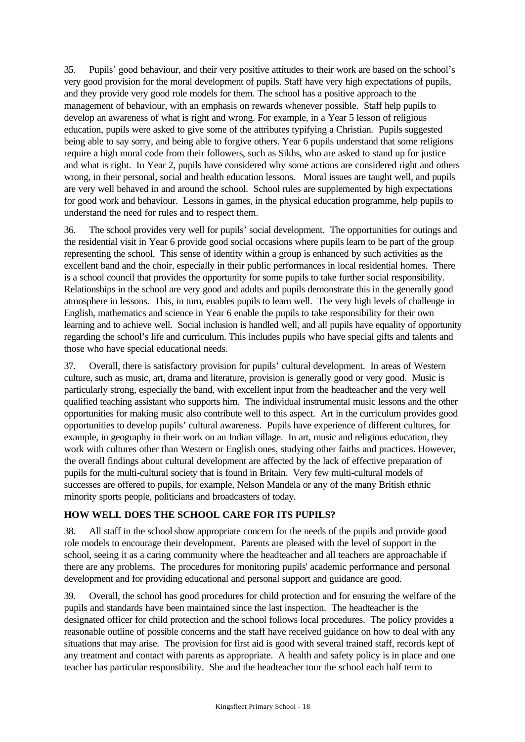35. Pupils' good behaviour, and their very positive attitudes to their work are based on the school's very good provision for the moral development of pupils. Staff have very high expectations of pupils, and they provide very good role models for them. The school has a positive approach to the management of behaviour, with an emphasis on rewards whenever possible. Staff help pupils to develop an awareness of what is right and wrong. For example, in a Year 5 lesson of religious education, pupils were asked to give some of the attributes typifying a Christian. Pupils suggested being able to say sorry, and being able to forgive others. Year 6 pupils understand that some religions require a high moral code from their followers, such as Sikhs, who are asked to stand up for justice and what is right. In Year 2, pupils have considered why some actions are considered right and others wrong, in their personal, social and health education lessons. Moral issues are taught well, and pupils are very well behaved in and around the school. School rules are supplemented by high expectations for good work and behaviour. Lessons in games, in the physical education programme, help pupils to understand the need for rules and to respect them.

36. The school provides very well for pupils' social development. The opportunities for outings and the residential visit in Year 6 provide good social occasions where pupils learn to be part of the group representing the school. This sense of identity within a group is enhanced by such activities as the excellent band and the choir, especially in their public performances in local residential homes. There is a school council that provides the opportunity for some pupils to take further social responsibility. Relationships in the school are very good and adults and pupils demonstrate this in the generally good atmosphere in lessons. This, in turn, enables pupils to learn well. The very high levels of challenge in English, mathematics and science in Year 6 enable the pupils to take responsibility for their own learning and to achieve well. Social inclusion is handled well, and all pupils have equality of opportunity regarding the school's life and curriculum. This includes pupils who have special gifts and talents and those who have special educational needs.

37. Overall, there is satisfactory provision for pupils' cultural development. In areas of Western culture, such as music, art, drama and literature, provision is generally good or very good. Music is particularly strong, especially the band, with excellent input from the headteacher and the very well qualified teaching assistant who supports him. The individual instrumental music lessons and the other opportunities for making music also contribute well to this aspect. Art in the curriculum provides good opportunities to develop pupils' cultural awareness. Pupils have experience of different cultures, for example, in geography in their work on an Indian village. In art, music and religious education, they work with cultures other than Western or English ones, studying other faiths and practices. However, the overall findings about cultural development are affected by the lack of effective preparation of pupils for the multi-cultural society that is found in Britain. Very few multi-cultural models of successes are offered to pupils, for example, Nelson Mandela or any of the many British ethnic minority sports people, politicians and broadcasters of today.

# **HOW WELL DOES THE SCHOOL CARE FOR ITS PUPILS?**

38. All staff in the schoolshow appropriate concern for the needs of the pupils and provide good role models to encourage their development. Parents are pleased with the level of support in the school, seeing it as a caring community where the headteacher and all teachers are approachable if there are any problems. The procedures for monitoring pupils' academic performance and personal development and for providing educational and personal support and guidance are good.

39. Overall, the school has good procedures for child protection and for ensuring the welfare of the pupils and standards have been maintained since the last inspection. The headteacher is the designated officer for child protection and the school follows local procedures. The policy provides a reasonable outline of possible concerns and the staff have received guidance on how to deal with any situations that may arise. The provision for first aid is good with several trained staff, records kept of any treatment and contact with parents as appropriate. A health and safety policy is in place and one teacher has particular responsibility. She and the headteacher tour the school each half term to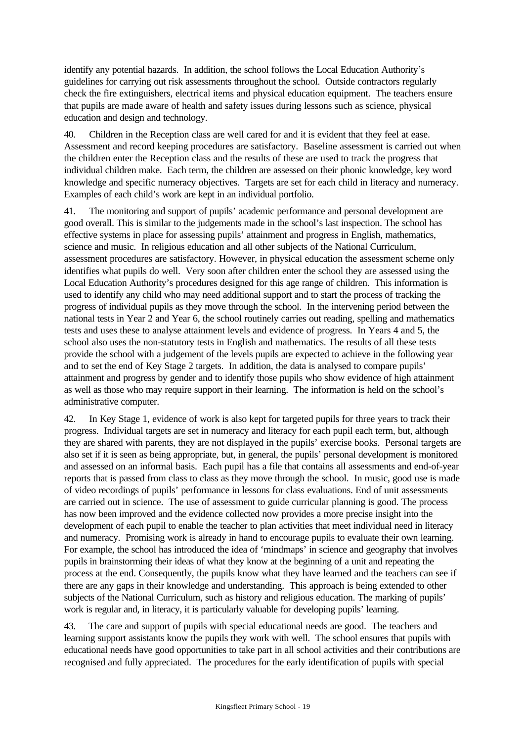identify any potential hazards. In addition, the school follows the Local Education Authority's guidelines for carrying out risk assessments throughout the school. Outside contractors regularly check the fire extinguishers, electrical items and physical education equipment. The teachers ensure that pupils are made aware of health and safety issues during lessons such as science, physical education and design and technology.

40. Children in the Reception class are well cared for and it is evident that they feel at ease. Assessment and record keeping procedures are satisfactory. Baseline assessment is carried out when the children enter the Reception class and the results of these are used to track the progress that individual children make. Each term, the children are assessed on their phonic knowledge, key word knowledge and specific numeracy objectives. Targets are set for each child in literacy and numeracy. Examples of each child's work are kept in an individual portfolio.

41. The monitoring and support of pupils' academic performance and personal development are good overall. This is similar to the judgements made in the school's last inspection. The school has effective systems in place for assessing pupils' attainment and progress in English, mathematics, science and music. In religious education and all other subjects of the National Curriculum, assessment procedures are satisfactory. However, in physical education the assessment scheme only identifies what pupils do well. Very soon after children enter the school they are assessed using the Local Education Authority's procedures designed for this age range of children. This information is used to identify any child who may need additional support and to start the process of tracking the progress of individual pupils as they move through the school. In the intervening period between the national tests in Year 2 and Year 6, the school routinely carries out reading, spelling and mathematics tests and uses these to analyse attainment levels and evidence of progress. In Years 4 and 5, the school also uses the non-statutory tests in English and mathematics. The results of all these tests provide the school with a judgement of the levels pupils are expected to achieve in the following year and to set the end of Key Stage 2 targets. In addition, the data is analysed to compare pupils' attainment and progress by gender and to identify those pupils who show evidence of high attainment as well as those who may require support in their learning. The information is held on the school's administrative computer.

42. In Key Stage 1, evidence of work is also kept for targeted pupils for three years to track their progress. Individual targets are set in numeracy and literacy for each pupil each term, but, although they are shared with parents, they are not displayed in the pupils' exercise books. Personal targets are also set if it is seen as being appropriate, but, in general, the pupils' personal development is monitored and assessed on an informal basis. Each pupil has a file that contains all assessments and end-of-year reports that is passed from class to class as they move through the school. In music, good use is made of video recordings of pupils' performance in lessons for class evaluations. End of unit assessments are carried out in science. The use of assessment to guide curricular planning is good. The process has now been improved and the evidence collected now provides a more precise insight into the development of each pupil to enable the teacher to plan activities that meet individual need in literacy and numeracy. Promising work is already in hand to encourage pupils to evaluate their own learning. For example, the school has introduced the idea of 'mindmaps' in science and geography that involves pupils in brainstorming their ideas of what they know at the beginning of a unit and repeating the process at the end. Consequently, the pupils know what they have learned and the teachers can see if there are any gaps in their knowledge and understanding. This approach is being extended to other subjects of the National Curriculum, such as history and religious education. The marking of pupils' work is regular and, in literacy, it is particularly valuable for developing pupils' learning.

43. The care and support of pupils with special educational needs are good. The teachers and learning support assistants know the pupils they work with well. The school ensures that pupils with educational needs have good opportunities to take part in all school activities and their contributions are recognised and fully appreciated. The procedures for the early identification of pupils with special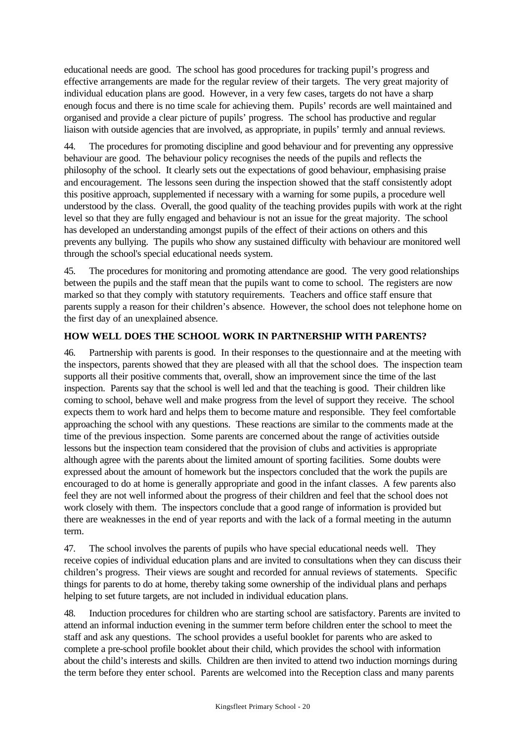educational needs are good. The school has good procedures for tracking pupil's progress and effective arrangements are made for the regular review of their targets. The very great majority of individual education plans are good. However, in a very few cases, targets do not have a sharp enough focus and there is no time scale for achieving them. Pupils' records are well maintained and organised and provide a clear picture of pupils' progress. The school has productive and regular liaison with outside agencies that are involved, as appropriate, in pupils' termly and annual reviews.

44. The procedures for promoting discipline and good behaviour and for preventing any oppressive behaviour are good. The behaviour policy recognises the needs of the pupils and reflects the philosophy of the school. It clearly sets out the expectations of good behaviour, emphasising praise and encouragement. The lessons seen during the inspection showed that the staff consistently adopt this positive approach, supplemented if necessary with a warning for some pupils, a procedure well understood by the class. Overall, the good quality of the teaching provides pupils with work at the right level so that they are fully engaged and behaviour is not an issue for the great majority. The school has developed an understanding amongst pupils of the effect of their actions on others and this prevents any bullying. The pupils who show any sustained difficulty with behaviour are monitored well through the school's special educational needs system.

45. The procedures for monitoring and promoting attendance are good. The very good relationships between the pupils and the staff mean that the pupils want to come to school. The registers are now marked so that they comply with statutory requirements. Teachers and office staff ensure that parents supply a reason for their children's absence. However, the school does not telephone home on the first day of an unexplained absence.

# **HOW WELL DOES THE SCHOOL WORK IN PARTNERSHIP WITH PARENTS?**

46. Partnership with parents is good. In their responses to the questionnaire and at the meeting with the inspectors, parents showed that they are pleased with all that the school does. The inspection team supports all their positive comments that, overall, show an improvement since the time of the last inspection. Parents say that the school is well led and that the teaching is good. Their children like coming to school, behave well and make progress from the level of support they receive. The school expects them to work hard and helps them to become mature and responsible. They feel comfortable approaching the school with any questions. These reactions are similar to the comments made at the time of the previous inspection. Some parents are concerned about the range of activities outside lessons but the inspection team considered that the provision of clubs and activities is appropriate although agree with the parents about the limited amount of sporting facilities. Some doubts were expressed about the amount of homework but the inspectors concluded that the work the pupils are encouraged to do at home is generally appropriate and good in the infant classes. A few parents also feel they are not well informed about the progress of their children and feel that the school does not work closely with them. The inspectors conclude that a good range of information is provided but there are weaknesses in the end of year reports and with the lack of a formal meeting in the autumn term.

47. The school involves the parents of pupils who have special educational needs well. They receive copies of individual education plans and are invited to consultations when they can discuss their children's progress. Their views are sought and recorded for annual reviews of statements. Specific things for parents to do at home, thereby taking some ownership of the individual plans and perhaps helping to set future targets, are not included in individual education plans.

48. Induction procedures for children who are starting school are satisfactory. Parents are invited to attend an informal induction evening in the summer term before children enter the school to meet the staff and ask any questions. The school provides a useful booklet for parents who are asked to complete a pre-school profile booklet about their child, which provides the school with information about the child's interests and skills. Children are then invited to attend two induction mornings during the term before they enter school. Parents are welcomed into the Reception class and many parents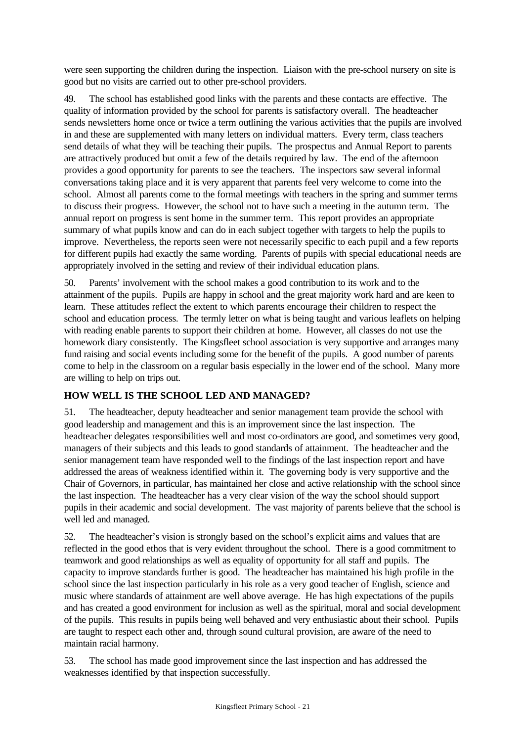were seen supporting the children during the inspection. Liaison with the pre-school nursery on site is good but no visits are carried out to other pre-school providers.

49. The school has established good links with the parents and these contacts are effective. The quality of information provided by the school for parents is satisfactory overall. The headteacher sends newsletters home once or twice a term outlining the various activities that the pupils are involved in and these are supplemented with many letters on individual matters. Every term, class teachers send details of what they will be teaching their pupils. The prospectus and Annual Report to parents are attractively produced but omit a few of the details required by law. The end of the afternoon provides a good opportunity for parents to see the teachers. The inspectors saw several informal conversations taking place and it is very apparent that parents feel very welcome to come into the school. Almost all parents come to the formal meetings with teachers in the spring and summer terms to discuss their progress. However, the school not to have such a meeting in the autumn term. The annual report on progress is sent home in the summer term. This report provides an appropriate summary of what pupils know and can do in each subject together with targets to help the pupils to improve. Nevertheless, the reports seen were not necessarily specific to each pupil and a few reports for different pupils had exactly the same wording. Parents of pupils with special educational needs are appropriately involved in the setting and review of their individual education plans.

50. Parents' involvement with the school makes a good contribution to its work and to the attainment of the pupils. Pupils are happy in school and the great majority work hard and are keen to learn. These attitudes reflect the extent to which parents encourage their children to respect the school and education process. The termly letter on what is being taught and various leaflets on helping with reading enable parents to support their children at home. However, all classes do not use the homework diary consistently. The Kingsfleet school association is very supportive and arranges many fund raising and social events including some for the benefit of the pupils. A good number of parents come to help in the classroom on a regular basis especially in the lower end of the school. Many more are willing to help on trips out.

# **HOW WELL IS THE SCHOOL LED AND MANAGED?**

51. The headteacher, deputy headteacher and senior management team provide the school with good leadership and management and this is an improvement since the last inspection. The headteacher delegates responsibilities well and most co-ordinators are good, and sometimes very good, managers of their subjects and this leads to good standards of attainment. The headteacher and the senior management team have responded well to the findings of the last inspection report and have addressed the areas of weakness identified within it. The governing body is very supportive and the Chair of Governors, in particular, has maintained her close and active relationship with the school since the last inspection. The headteacher has a very clear vision of the way the school should support pupils in their academic and social development. The vast majority of parents believe that the school is well led and managed.

52. The headteacher's vision is strongly based on the school's explicit aims and values that are reflected in the good ethos that is very evident throughout the school. There is a good commitment to teamwork and good relationships as well as equality of opportunity for all staff and pupils. The capacity to improve standards further is good. The headteacher has maintained his high profile in the school since the last inspection particularly in his role as a very good teacher of English, science and music where standards of attainment are well above average. He has high expectations of the pupils and has created a good environment for inclusion as well as the spiritual, moral and social development of the pupils. This results in pupils being well behaved and very enthusiastic about their school. Pupils are taught to respect each other and, through sound cultural provision, are aware of the need to maintain racial harmony.

53. The school has made good improvement since the last inspection and has addressed the weaknesses identified by that inspection successfully.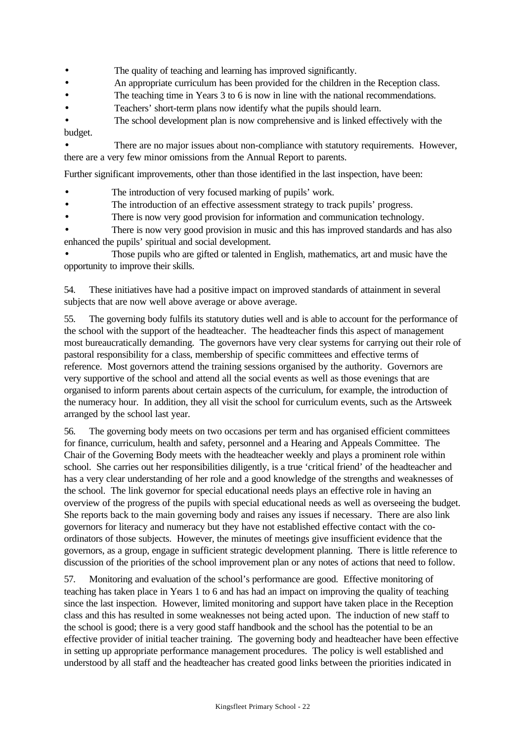- The quality of teaching and learning has improved significantly.
- An appropriate curriculum has been provided for the children in the Reception class.
- The teaching time in Years 3 to 6 is now in line with the national recommendations.
- Teachers' short-term plans now identify what the pupils should learn.
- The school development plan is now comprehensive and is linked effectively with the budget.

There are no major issues about non-compliance with statutory requirements. However, there are a very few minor omissions from the Annual Report to parents.

Further significant improvements, other than those identified in the last inspection, have been:

- The introduction of very focused marking of pupils' work.
- The introduction of an effective assessment strategy to track pupils' progress.
- There is now very good provision for information and communication technology.
- There is now very good provision in music and this has improved standards and has also enhanced the pupils' spiritual and social development.

• Those pupils who are gifted or talented in English, mathematics, art and music have the opportunity to improve their skills.

54. These initiatives have had a positive impact on improved standards of attainment in several subjects that are now well above average or above average.

55. The governing body fulfils its statutory duties well and is able to account for the performance of the school with the support of the headteacher. The headteacher finds this aspect of management most bureaucratically demanding. The governors have very clear systems for carrying out their role of pastoral responsibility for a class, membership of specific committees and effective terms of reference. Most governors attend the training sessions organised by the authority. Governors are very supportive of the school and attend all the social events as well as those evenings that are organised to inform parents about certain aspects of the curriculum, for example, the introduction of the numeracy hour. In addition, they all visit the school for curriculum events, such as the Artsweek arranged by the school last year.

56. The governing body meets on two occasions per term and has organised efficient committees for finance, curriculum, health and safety, personnel and a Hearing and Appeals Committee. The Chair of the Governing Body meets with the headteacher weekly and plays a prominent role within school. She carries out her responsibilities diligently, is a true 'critical friend' of the headteacher and has a very clear understanding of her role and a good knowledge of the strengths and weaknesses of the school. The link governor for special educational needs plays an effective role in having an overview of the progress of the pupils with special educational needs as well as overseeing the budget. She reports back to the main governing body and raises any issues if necessary. There are also link governors for literacy and numeracy but they have not established effective contact with the coordinators of those subjects. However, the minutes of meetings give insufficient evidence that the governors, as a group, engage in sufficient strategic development planning. There is little reference to discussion of the priorities of the school improvement plan or any notes of actions that need to follow.

57. Monitoring and evaluation of the school's performance are good. Effective monitoring of teaching has taken place in Years 1 to 6 and has had an impact on improving the quality of teaching since the last inspection. However, limited monitoring and support have taken place in the Reception class and this has resulted in some weaknesses not being acted upon. The induction of new staff to the school is good; there is a very good staff handbook and the school has the potential to be an effective provider of initial teacher training. The governing body and headteacher have been effective in setting up appropriate performance management procedures. The policy is well established and understood by all staff and the headteacher has created good links between the priorities indicated in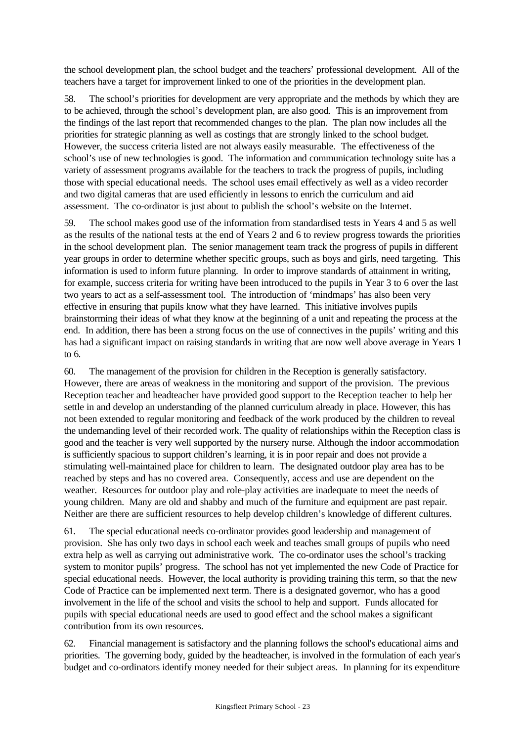the school development plan, the school budget and the teachers' professional development. All of the teachers have a target for improvement linked to one of the priorities in the development plan.

58. The school's priorities for development are very appropriate and the methods by which they are to be achieved, through the school's development plan, are also good. This is an improvement from the findings of the last report that recommended changes to the plan. The plan now includes all the priorities for strategic planning as well as costings that are strongly linked to the school budget. However, the success criteria listed are not always easily measurable. The effectiveness of the school's use of new technologies is good. The information and communication technology suite has a variety of assessment programs available for the teachers to track the progress of pupils, including those with special educational needs. The school uses email effectively as well as a video recorder and two digital cameras that are used efficiently in lessons to enrich the curriculum and aid assessment. The co-ordinator is just about to publish the school's website on the Internet.

59. The school makes good use of the information from standardised tests in Years 4 and 5 as well as the results of the national tests at the end of Years 2 and 6 to review progress towards the priorities in the school development plan. The senior management team track the progress of pupils in different year groups in order to determine whether specific groups, such as boys and girls, need targeting. This information is used to inform future planning. In order to improve standards of attainment in writing, for example, success criteria for writing have been introduced to the pupils in Year 3 to 6 over the last two years to act as a self-assessment tool. The introduction of 'mindmaps' has also been very effective in ensuring that pupils know what they have learned. This initiative involves pupils brainstorming their ideas of what they know at the beginning of a unit and repeating the process at the end. In addition, there has been a strong focus on the use of connectives in the pupils' writing and this has had a significant impact on raising standards in writing that are now well above average in Years 1 to  $6<sup>1</sup>$ 

60. The management of the provision for children in the Reception is generally satisfactory. However, there are areas of weakness in the monitoring and support of the provision. The previous Reception teacher and headteacher have provided good support to the Reception teacher to help her settle in and develop an understanding of the planned curriculum already in place. However, this has not been extended to regular monitoring and feedback of the work produced by the children to reveal the undemanding level of their recorded work. The quality of relationships within the Reception class is good and the teacher is very well supported by the nursery nurse. Although the indoor accommodation is sufficiently spacious to support children's learning, it is in poor repair and does not provide a stimulating well-maintained place for children to learn. The designated outdoor play area has to be reached by steps and has no covered area. Consequently, access and use are dependent on the weather. Resources for outdoor play and role-play activities are inadequate to meet the needs of young children. Many are old and shabby and much of the furniture and equipment are past repair. Neither are there are sufficient resources to help develop children's knowledge of different cultures.

61. The special educational needs co-ordinator provides good leadership and management of provision. She has only two days in school each week and teaches small groups of pupils who need extra help as well as carrying out administrative work. The co-ordinator uses the school's tracking system to monitor pupils' progress. The school has not yet implemented the new Code of Practice for special educational needs. However, the local authority is providing training this term, so that the new Code of Practice can be implemented next term. There is a designated governor, who has a good involvement in the life of the school and visits the school to help and support. Funds allocated for pupils with special educational needs are used to good effect and the school makes a significant contribution from its own resources.

62. Financial management is satisfactory and the planning follows the school's educational aims and priorities. The governing body, guided by the headteacher, is involved in the formulation of each year's budget and co-ordinators identify money needed for their subject areas. In planning for its expenditure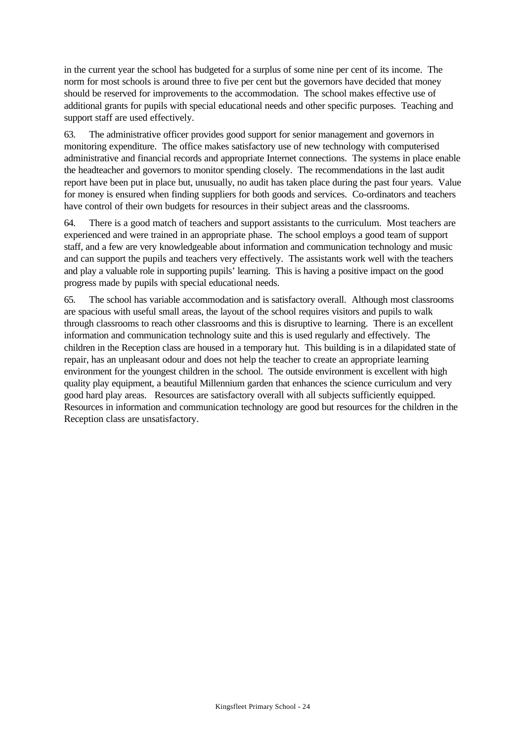in the current year the school has budgeted for a surplus of some nine per cent of its income. The norm for most schools is around three to five per cent but the governors have decided that money should be reserved for improvements to the accommodation. The school makes effective use of additional grants for pupils with special educational needs and other specific purposes. Teaching and support staff are used effectively.

63. The administrative officer provides good support for senior management and governors in monitoring expenditure. The office makes satisfactory use of new technology with computerised administrative and financial records and appropriate Internet connections. The systems in place enable the headteacher and governors to monitor spending closely. The recommendations in the last audit report have been put in place but, unusually, no audit has taken place during the past four years. Value for money is ensured when finding suppliers for both goods and services. Co-ordinators and teachers have control of their own budgets for resources in their subject areas and the classrooms.

64. There is a good match of teachers and support assistants to the curriculum. Most teachers are experienced and were trained in an appropriate phase. The school employs a good team of support staff, and a few are very knowledgeable about information and communication technology and music and can support the pupils and teachers very effectively. The assistants work well with the teachers and play a valuable role in supporting pupils' learning. This is having a positive impact on the good progress made by pupils with special educational needs.

65. The school has variable accommodation and is satisfactory overall. Although most classrooms are spacious with useful small areas, the layout of the school requires visitors and pupils to walk through classrooms to reach other classrooms and this is disruptive to learning. There is an excellent information and communication technology suite and this is used regularly and effectively. The children in the Reception class are housed in a temporary hut. This building is in a dilapidated state of repair, has an unpleasant odour and does not help the teacher to create an appropriate learning environment for the youngest children in the school. The outside environment is excellent with high quality play equipment, a beautiful Millennium garden that enhances the science curriculum and very good hard play areas. Resources are satisfactory overall with all subjects sufficiently equipped. Resources in information and communication technology are good but resources for the children in the Reception class are unsatisfactory.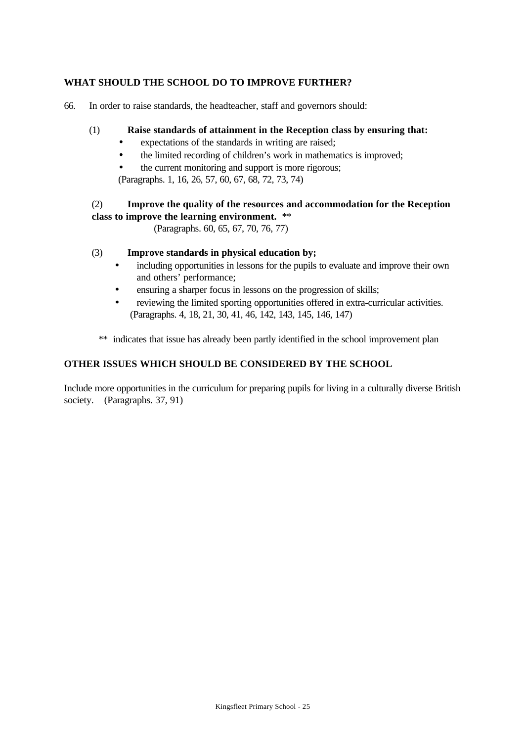# **WHAT SHOULD THE SCHOOL DO TO IMPROVE FURTHER?**

66. In order to raise standards, the headteacher, staff and governors should:

# (1) **Raise standards of attainment in the Reception class by ensuring that:**

- expectations of the standards in writing are raised;
- the limited recording of children's work in mathematics is improved;
- the current monitoring and support is more rigorous;

(Paragraphs. 1, 16, 26, 57, 60, 67, 68, 72, 73, 74)

# (2) **Improve the quality of the resources and accommodation for the Reception class to improve the learning environment.** \*\*

(Paragraphs. 60, 65, 67, 70, 76, 77)

# (3) **Improve standards in physical education by;**

- including opportunities in lessons for the pupils to evaluate and improve their own and others' performance;
- ensuring a sharper focus in lessons on the progression of skills;
- reviewing the limited sporting opportunities offered in extra-curricular activities. (Paragraphs. 4, 18, 21, 30, 41, 46, 142, 143, 145, 146, 147)
- \*\* indicates that issue has already been partly identified in the school improvement plan

# **OTHER ISSUES WHICH SHOULD BE CONSIDERED BY THE SCHOOL**

Include more opportunities in the curriculum for preparing pupils for living in a culturally diverse British society. (Paragraphs. 37, 91)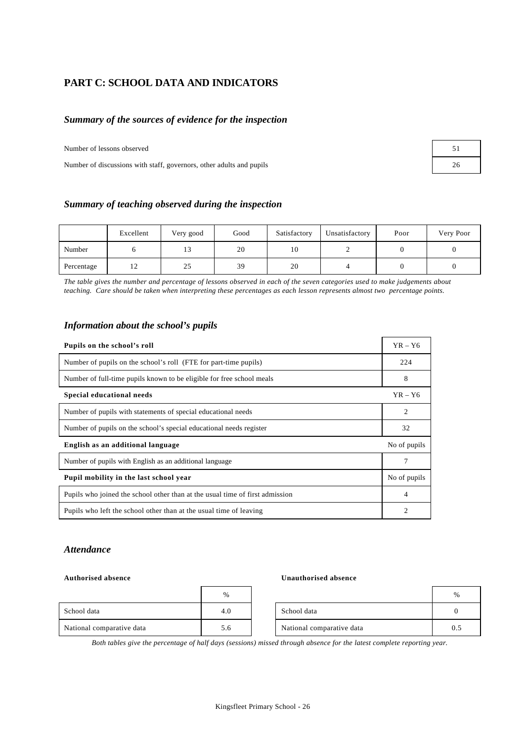# **PART C: SCHOOL DATA AND INDICATORS**

### *Summary of the sources of evidence for the inspection*

Number of lessons observed

Number of discussions with staff, governors, other adults and pupils 26

| 51 |  |
|----|--|
| 26 |  |

### *Summary of teaching observed during the inspection*

|            | Excellent     | Very good | Good | Satisfactory | Unsatisfactory | Poor | Very Poor |
|------------|---------------|-----------|------|--------------|----------------|------|-----------|
| Number     |               | 13        | 20   | 10           |                |      |           |
| Percentage | $\frac{1}{2}$ | 25        | 39   | 20           |                |      |           |

*The table gives the number and percentage of lessons observed in each of the seven categories used to make judgements about teaching. Care should be taken when interpreting these percentages as each lesson represents almost two percentage points.*

| Information about the school's pupils |  |  |
|---------------------------------------|--|--|
|                                       |  |  |

| Pupils on the school's roll                                                  | $YR - Y6$    |
|------------------------------------------------------------------------------|--------------|
| Number of pupils on the school's roll (FTE for part-time pupils)             | 224          |
| Number of full-time pupils known to be eligible for free school meals        | 8            |
| Special educational needs                                                    | $YR - Y6$    |
| Number of pupils with statements of special educational needs                | 2            |
| Number of pupils on the school's special educational needs register          | 32           |
| English as an additional language                                            | No of pupils |
| Number of pupils with English as an additional language                      |              |
| Pupil mobility in the last school year                                       | No of pupils |
| Pupils who joined the school other than at the usual time of first admission | 4            |
| Pupils who left the school other than at the usual time of leaving           | 2            |

### *Attendance*

### **Authorised absence Unauthorised absence**

|                           | %   |                           | %        |
|---------------------------|-----|---------------------------|----------|
| School data               | 4.0 | School data               | $\Omega$ |
| National comparative data | 5.6 | National comparative data | 0.5      |

*Both tables give the percentage of half days (sessions) missed through absence for the latest complete reporting year.*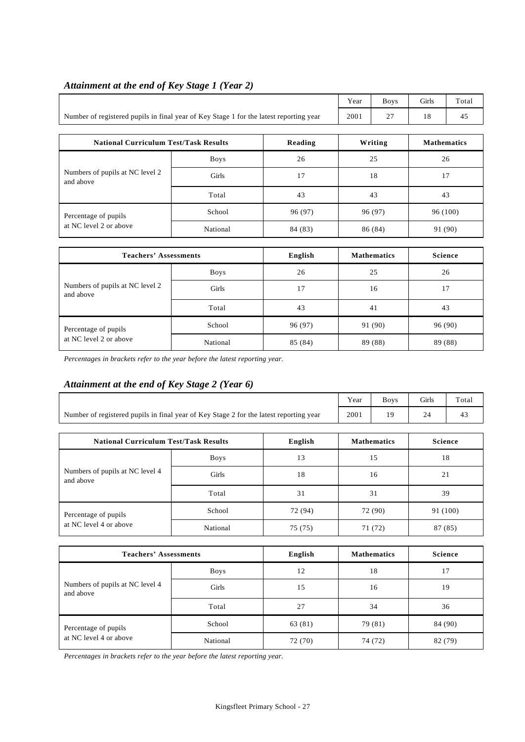|                                                                                        |             |         | Year | <b>Boys</b> | Girls    | Total              |  |
|----------------------------------------------------------------------------------------|-------------|---------|------|-------------|----------|--------------------|--|
| Number of registered pupils in final year of Key Stage 1 for the latest reporting year | 2001        | 27      | 18   | 45          |          |                    |  |
|                                                                                        |             |         |      |             |          |                    |  |
| <b>National Curriculum Test/Task Results</b><br>Reading                                |             |         |      | Writing     |          | <b>Mathematics</b> |  |
|                                                                                        | <b>Boys</b> | 26      |      | 25          |          | 26                 |  |
| Numbers of pupils at NC level 2<br>and above                                           | Girls       | 17      | 18   |             | 17       |                    |  |
|                                                                                        | Total       | 43      |      | 43          |          | 43                 |  |
| Percentage of pupils                                                                   | School      | 96 (97) |      | 96 (97)     | 96 (100) |                    |  |

at NC level 2 or above National 84 (83) 86 (84) 91 (90)

# *Attainment at the end of Key Stage 1 (Year 2)*

| <b>Teachers' Assessments</b>                   |             | English | <b>Mathematics</b> | Science |
|------------------------------------------------|-------------|---------|--------------------|---------|
| Numbers of pupils at NC level 2<br>and above   | <b>Boys</b> | 26      | 25                 | 26      |
|                                                | Girls       | 17      | 16                 | 17      |
|                                                | Total       | 43      | 41                 | 43      |
| Percentage of pupils<br>at NC level 2 or above | School      | 96 (97) | 91 (90)            | 96 (90) |
|                                                | National    | 85 (84) | 89 (88)            | 89 (88) |

*Percentages in brackets refer to the year before the latest reporting year.*

# *Attainment at the end of Key Stage 2 (Year 6)*

|                                                                                        |             |         | Year    | <b>Boys</b>        | Girls    | Total          |  |
|----------------------------------------------------------------------------------------|-------------|---------|---------|--------------------|----------|----------------|--|
| Number of registered pupils in final year of Key Stage 2 for the latest reporting year |             |         | 2001    | 19                 | 24       | 43             |  |
| <b>National Curriculum Test/Task Results</b>                                           |             | English |         | <b>Mathematics</b> |          | <b>Science</b> |  |
|                                                                                        | <b>Boys</b> | 13      |         | 15                 |          | 18             |  |
| Numbers of pupils at NC level 4<br>and above                                           | Girls       | 18      | 16      |                    | 21       |                |  |
|                                                                                        | Total       | 31      | 31      |                    | 39       |                |  |
| Percentage of pupils                                                                   | School      | 72 (94) | 72 (90) |                    | 91 (100) |                |  |
| at NC level 4 or above                                                                 | National    | 75 (75) |         | 71 (72)            |          | 87 (85)        |  |
|                                                                                        |             |         |         |                    |          |                |  |
| <b>Teachers' Assessments</b>                                                           |             | English |         | <b>Mathematics</b> |          | <b>Science</b> |  |
|                                                                                        | <b>Boys</b> | 12      |         | 18                 |          | 17             |  |
| Numbers of pupils at NC level 4<br>and above                                           | Girls       | 15      | 16      |                    |          | 19             |  |
|                                                                                        | Total       | 27      | 34      |                    | 36       |                |  |

*Percentages in brackets refer to the year before the latest reporting year.*

Percentage of pupils School 63 (81) 79 (81) 84 (90) at NC level 4 or above National 72 (70) 74 (72) 82 (79)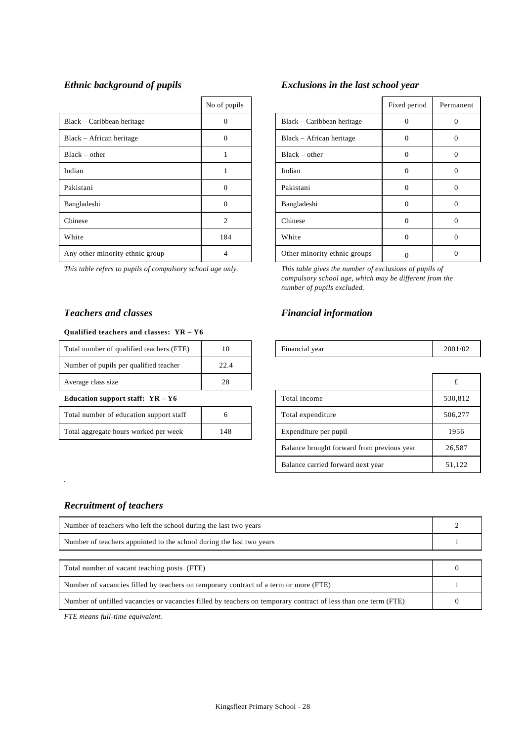|                                 | No of pupils   |                              | Fixed period | Perma        |
|---------------------------------|----------------|------------------------------|--------------|--------------|
| Black – Caribbean heritage      | $\Omega$       | Black – Caribbean heritage   | 0            | 0            |
| Black – African heritage        | $\Omega$       | Black – African heritage     | $\Omega$     | $\mathbf{0}$ |
| $Black - other$                 |                | $Black - other$              | $\Omega$     | $\mathbf{0}$ |
| Indian                          |                | Indian                       | 0            | $\theta$     |
| Pakistani                       | $\Omega$       | Pakistani                    | $\Omega$     | $\Omega$     |
| Bangladeshi                     | $\Omega$       | Bangladeshi                  | 0            | $\Omega$     |
| Chinese                         | $\mathfrak{D}$ | Chinese                      | $\Omega$     | $\Omega$     |
| White                           | 184            | White                        | 0            | $\theta$     |
| Any other minority ethnic group | 4              | Other minority ethnic groups |              | $\mathbf{0}$ |

### **Qualified teachers and classes: YR – Y6**

| Total number of qualified teachers (FTE) | 10           | Financial year    | 2001 |
|------------------------------------------|--------------|-------------------|------|
| Number of pupils per qualified teacher   | 22.4         |                   |      |
| Average class size                       | 28           |                   | £    |
| Education support staff: $YR - Y6$       |              | Total income      | 530. |
| Total number of education support staff  | <sub>0</sub> | Total expenditure | 506. |
|                                          |              |                   |      |

### *Ethnic background of pupils Exclusions in the last school year*

| No of pupils   |                              | Fixed period | Permanent |
|----------------|------------------------------|--------------|-----------|
| 0              | Black – Caribbean heritage   |              |           |
| 0              | Black – African heritage     | 0            |           |
|                | $Black - other$              | 0            |           |
|                | Indian                       | $\cup$       |           |
| $\Omega$       | Pakistani                    |              |           |
| 0              | Bangladeshi                  | O            |           |
| $\overline{c}$ | Chinese                      | O            | 0         |
| 184            | White                        | 0            | 0         |
| 4              | Other minority ethnic groups |              |           |

*This table refers to pupils of compulsory school age only. This table gives the number of exclusions of pupils of compulsory school age, which may be different from the number of pupils excluded.*

# *Teachers and classes Financial information*

| <br>Total<br>7TE.<br>number of qualified teachers ( |  | vear<br>inancia!<br>. |  |
|-----------------------------------------------------|--|-----------------------|--|

| Average class size                      | 28  |                                            | £       |
|-----------------------------------------|-----|--------------------------------------------|---------|
| Education support staff: $YR - Y6$      |     | Total income                               | 530,812 |
| Total number of education support staff | 6   | Total expenditure                          | 506,277 |
| Total aggregate hours worked per week   | 148 | Expenditure per pupil                      | 1956    |
|                                         |     | Balance brought forward from previous year | 26,587  |
|                                         |     | Balance carried forward next year          | 51,122  |

# *Recruitment of teachers*

*.*

| Number of teachers who left the school during the last two years                                               |  |  |  |
|----------------------------------------------------------------------------------------------------------------|--|--|--|
| Number of teachers appointed to the school during the last two years                                           |  |  |  |
|                                                                                                                |  |  |  |
| Total number of vacant teaching posts (FTE)                                                                    |  |  |  |
| Number of vacancies filled by teachers on temporary contract of a term or more (FTE)                           |  |  |  |
| Number of unfilled vacancies or vacancies filled by teachers on temporary contract of less than one term (FTE) |  |  |  |

*FTE means full-time equivalent.*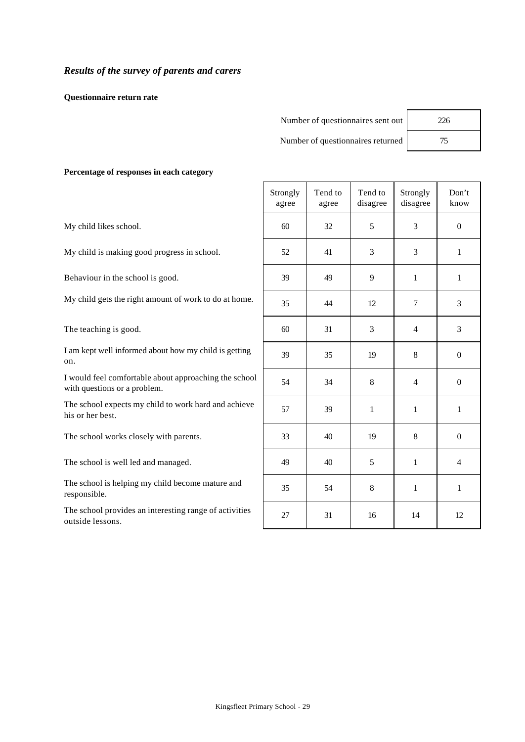**Questionnaire return rate**

| Number of questionnaires sent out | 226 |
|-----------------------------------|-----|
| Number of questionnaires returned |     |

**Percentage of responses in each category**

My child likes school.

My child is making good progress in school.

Behaviour in the school is good.

My child gets the right amount of work to do at home.

The teaching is good.

I am kept well informed about how my child is getting on.

I would feel comfortable about approaching the school with questions or a problem.

The school expects my child to work hard and achieve his or her best.

The school works closely with parents.

The school is well led and managed.

The school is helping my child become mature and responsible.

The school provides an interesting range of activities outside lessons.

|   | Strongly<br>agree | Tend to<br>agree | Tend to<br>disagree | Strongly<br>disagree    | Don't<br>know    |
|---|-------------------|------------------|---------------------|-------------------------|------------------|
| l | 60                | 32               | 5                   | 3                       | $\boldsymbol{0}$ |
|   | 52                | 41               | 3                   | 3                       | $\,1$            |
|   | 39                | 49               | 9                   | $\,1$                   | $\mathbf{1}$     |
|   | 35                | 44               | 12                  | $\overline{7}$          | 3                |
|   | 60                | 31               | 3                   | $\overline{\mathbf{4}}$ | 3                |
|   | 39                | 35               | 19                  | 8                       | $\boldsymbol{0}$ |
|   | 54                | 34               | 8                   | $\overline{4}$          | $\boldsymbol{0}$ |
|   | 57                | 39               | $\,1$               | $\,1$                   | $\,1$            |
|   | 33                | 40               | 19                  | 8                       | $\overline{0}$   |
|   | 49                | 40               | 5                   | $\,1$                   | $\overline{4}$   |
|   | 35                | 54               | 8                   | $\,1$                   | $\mathbf 1$      |
|   | $27\,$            | 31               | 16                  | 14                      | 12               |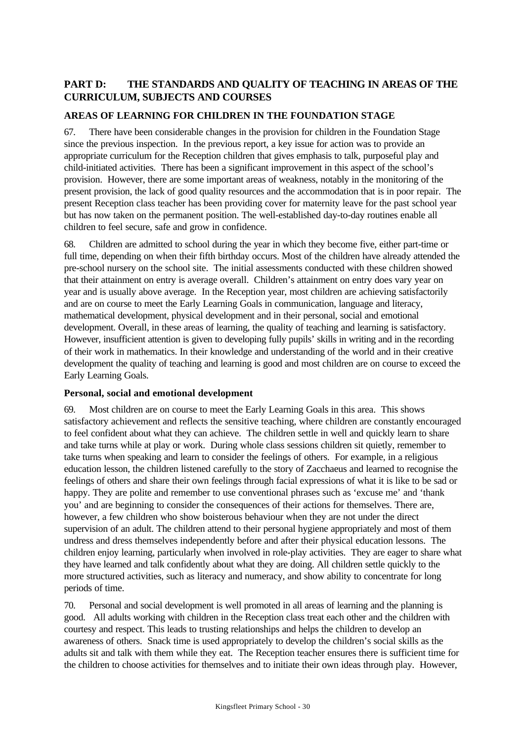# **PART D: THE STANDARDS AND QUALITY OF TEACHING IN AREAS OF THE CURRICULUM, SUBJECTS AND COURSES**

# **AREAS OF LEARNING FOR CHILDREN IN THE FOUNDATION STAGE**

67. There have been considerable changes in the provision for children in the Foundation Stage since the previous inspection. In the previous report, a key issue for action was to provide an appropriate curriculum for the Reception children that gives emphasis to talk, purposeful play and child-initiated activities. There has been a significant improvement in this aspect of the school's provision. However, there are some important areas of weakness, notably in the monitoring of the present provision, the lack of good quality resources and the accommodation that is in poor repair. The present Reception class teacher has been providing cover for maternity leave for the past school year but has now taken on the permanent position. The well-established day-to-day routines enable all children to feel secure, safe and grow in confidence.

68. Children are admitted to school during the year in which they become five, either part-time or full time, depending on when their fifth birthday occurs. Most of the children have already attended the pre-school nursery on the school site. The initial assessments conducted with these children showed that their attainment on entry is average overall. Children's attainment on entry does vary year on year and is usually above average. In the Reception year, most children are achieving satisfactorily and are on course to meet the Early Learning Goals in communication, language and literacy, mathematical development, physical development and in their personal, social and emotional development. Overall, in these areas of learning, the quality of teaching and learning is satisfactory. However, insufficient attention is given to developing fully pupils' skills in writing and in the recording of their work in mathematics. In their knowledge and understanding of the world and in their creative development the quality of teaching and learning is good and most children are on course to exceed the Early Learning Goals.

# **Personal, social and emotional development**

69. Most children are on course to meet the Early Learning Goals in this area. This shows satisfactory achievement and reflects the sensitive teaching, where children are constantly encouraged to feel confident about what they can achieve. The children settle in well and quickly learn to share and take turns while at play or work. During whole class sessions children sit quietly, remember to take turns when speaking and learn to consider the feelings of others. For example, in a religious education lesson, the children listened carefully to the story of Zacchaeus and learned to recognise the feelings of others and share their own feelings through facial expressions of what it is like to be sad or happy. They are polite and remember to use conventional phrases such as 'excuse me' and 'thank you' and are beginning to consider the consequences of their actions for themselves. There are, however, a few children who show boisterous behaviour when they are not under the direct supervision of an adult. The children attend to their personal hygiene appropriately and most of them undress and dress themselves independently before and after their physical education lessons. The children enjoy learning, particularly when involved in role-play activities. They are eager to share what they have learned and talk confidently about what they are doing. All children settle quickly to the more structured activities, such as literacy and numeracy, and show ability to concentrate for long periods of time.

70. Personal and social development is well promoted in all areas of learning and the planning is good. All adults working with children in the Reception class treat each other and the children with courtesy and respect. This leads to trusting relationships and helps the children to develop an awareness of others. Snack time is used appropriately to develop the children's social skills as the adults sit and talk with them while they eat. The Reception teacher ensures there is sufficient time for the children to choose activities for themselves and to initiate their own ideas through play. However,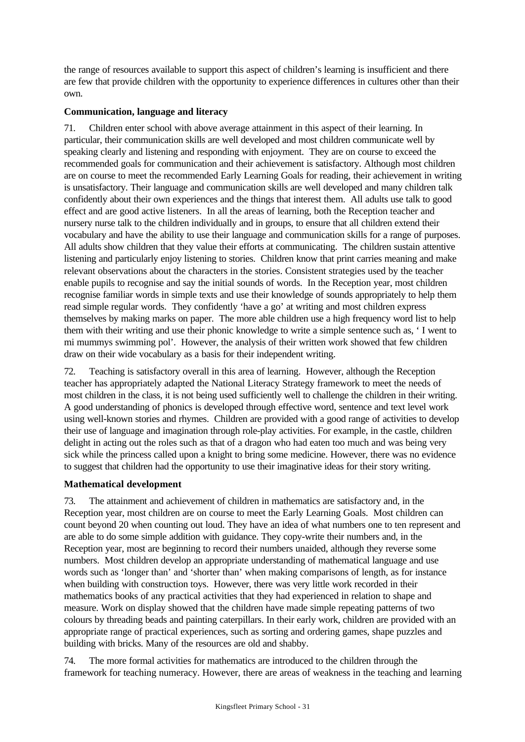the range of resources available to support this aspect of children's learning is insufficient and there are few that provide children with the opportunity to experience differences in cultures other than their own.

### **Communication, language and literacy**

71. Children enter school with above average attainment in this aspect of their learning. In particular, their communication skills are well developed and most children communicate well by speaking clearly and listening and responding with enjoyment. They are on course to exceed the recommended goals for communication and their achievement is satisfactory. Although most children are on course to meet the recommended Early Learning Goals for reading, their achievement in writing is unsatisfactory. Their language and communication skills are well developed and many children talk confidently about their own experiences and the things that interest them. All adults use talk to good effect and are good active listeners. In all the areas of learning, both the Reception teacher and nursery nurse talk to the children individually and in groups, to ensure that all children extend their vocabulary and have the ability to use their language and communication skills for a range of purposes. All adults show children that they value their efforts at communicating. The children sustain attentive listening and particularly enjoy listening to stories. Children know that print carries meaning and make relevant observations about the characters in the stories. Consistent strategies used by the teacher enable pupils to recognise and say the initial sounds of words. In the Reception year, most children recognise familiar words in simple texts and use their knowledge of sounds appropriately to help them read simple regular words. They confidently 'have a go' at writing and most children express themselves by making marks on paper. The more able children use a high frequency word list to help them with their writing and use their phonic knowledge to write a simple sentence such as, ' I went to mi mummys swimming pol'. However, the analysis of their written work showed that few children draw on their wide vocabulary as a basis for their independent writing.

72. Teaching is satisfactory overall in this area of learning. However, although the Reception teacher has appropriately adapted the National Literacy Strategy framework to meet the needs of most children in the class, it is not being used sufficiently well to challenge the children in their writing. A good understanding of phonics is developed through effective word, sentence and text level work using well-known stories and rhymes. Children are provided with a good range of activities to develop their use of language and imagination through role-play activities. For example, in the castle, children delight in acting out the roles such as that of a dragon who had eaten too much and was being very sick while the princess called upon a knight to bring some medicine. However, there was no evidence to suggest that children had the opportunity to use their imaginative ideas for their story writing.

# **Mathematical development**

73. The attainment and achievement of children in mathematics are satisfactory and, in the Reception year, most children are on course to meet the Early Learning Goals. Most children can count beyond 20 when counting out loud. They have an idea of what numbers one to ten represent and are able to do some simple addition with guidance. They copy-write their numbers and, in the Reception year, most are beginning to record their numbers unaided, although they reverse some numbers. Most children develop an appropriate understanding of mathematical language and use words such as 'longer than' and 'shorter than' when making comparisons of length, as for instance when building with construction toys. However, there was very little work recorded in their mathematics books of any practical activities that they had experienced in relation to shape and measure. Work on display showed that the children have made simple repeating patterns of two colours by threading beads and painting caterpillars. In their early work, children are provided with an appropriate range of practical experiences, such as sorting and ordering games, shape puzzles and building with bricks. Many of the resources are old and shabby.

74. The more formal activities for mathematics are introduced to the children through the framework for teaching numeracy. However, there are areas of weakness in the teaching and learning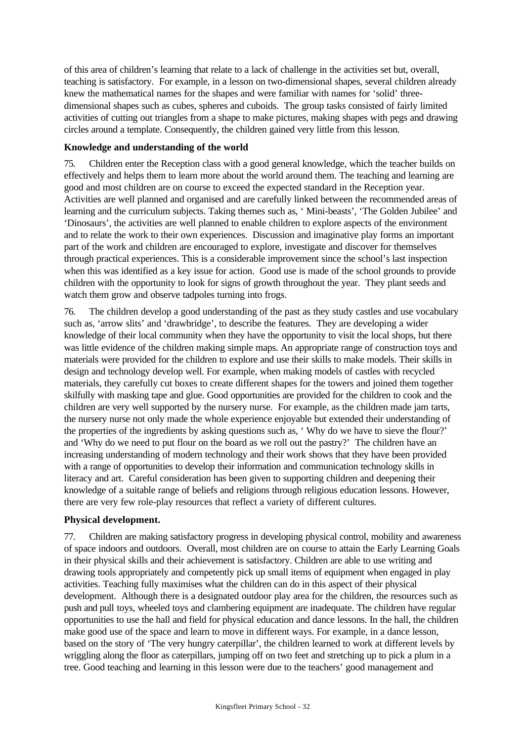of this area of children's learning that relate to a lack of challenge in the activities set but, overall, teaching is satisfactory. For example, in a lesson on two-dimensional shapes, several children already knew the mathematical names for the shapes and were familiar with names for 'solid' threedimensional shapes such as cubes, spheres and cuboids. The group tasks consisted of fairly limited activities of cutting out triangles from a shape to make pictures, making shapes with pegs and drawing circles around a template. Consequently, the children gained very little from this lesson.

### **Knowledge and understanding of the world**

75. Children enter the Reception class with a good general knowledge, which the teacher builds on effectively and helps them to learn more about the world around them. The teaching and learning are good and most children are on course to exceed the expected standard in the Reception year. Activities are well planned and organised and are carefully linked between the recommended areas of learning and the curriculum subjects. Taking themes such as, ' Mini-beasts', 'The Golden Jubilee' and 'Dinosaurs', the activities are well planned to enable children to explore aspects of the environment and to relate the work to their own experiences. Discussion and imaginative play forms an important part of the work and children are encouraged to explore, investigate and discover for themselves through practical experiences. This is a considerable improvement since the school's last inspection when this was identified as a key issue for action. Good use is made of the school grounds to provide children with the opportunity to look for signs of growth throughout the year. They plant seeds and watch them grow and observe tadpoles turning into frogs.

76. The children develop a good understanding of the past as they study castles and use vocabulary such as, 'arrow slits' and 'drawbridge', to describe the features. They are developing a wider knowledge of their local community when they have the opportunity to visit the local shops, but there was little evidence of the children making simple maps. An appropriate range of construction toys and materials were provided for the children to explore and use their skills to make models. Their skills in design and technology develop well. For example, when making models of castles with recycled materials, they carefully cut boxes to create different shapes for the towers and joined them together skilfully with masking tape and glue. Good opportunities are provided for the children to cook and the children are very well supported by the nursery nurse. For example, as the children made jam tarts, the nursery nurse not only made the whole experience enjoyable but extended their understanding of the properties of the ingredients by asking questions such as, ' Why do we have to sieve the flour?' and 'Why do we need to put flour on the board as we roll out the pastry?' The children have an increasing understanding of modern technology and their work shows that they have been provided with a range of opportunities to develop their information and communication technology skills in literacy and art. Careful consideration has been given to supporting children and deepening their knowledge of a suitable range of beliefs and religions through religious education lessons. However, there are very few role-play resources that reflect a variety of different cultures.

### **Physical development.**

77. Children are making satisfactory progress in developing physical control, mobility and awareness of space indoors and outdoors. Overall, most children are on course to attain the Early Learning Goals in their physical skills and their achievement is satisfactory. Children are able to use writing and drawing tools appropriately and competently pick up small items of equipment when engaged in play activities. Teaching fully maximises what the children can do in this aspect of their physical development. Although there is a designated outdoor play area for the children, the resources such as push and pull toys, wheeled toys and clambering equipment are inadequate. The children have regular opportunities to use the hall and field for physical education and dance lessons. In the hall, the children make good use of the space and learn to move in different ways. For example, in a dance lesson, based on the story of 'The very hungry caterpillar', the children learned to work at different levels by wriggling along the floor as caterpillars, jumping off on two feet and stretching up to pick a plum in a tree. Good teaching and learning in this lesson were due to the teachers' good management and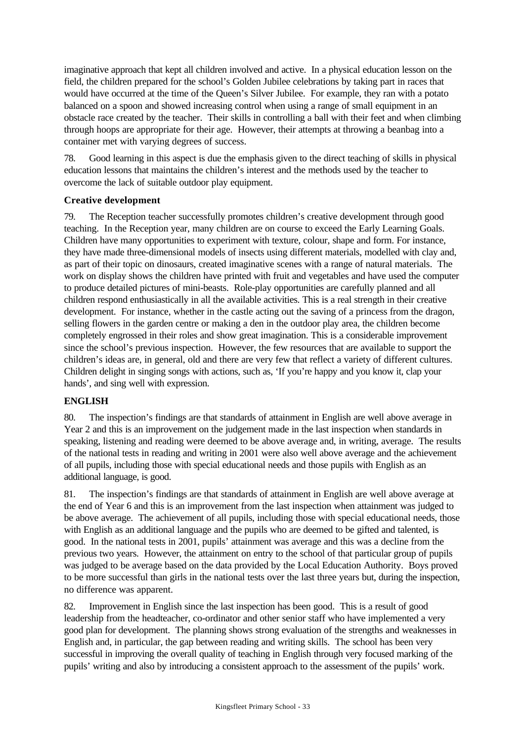imaginative approach that kept all children involved and active. In a physical education lesson on the field, the children prepared for the school's Golden Jubilee celebrations by taking part in races that would have occurred at the time of the Queen's Silver Jubilee. For example, they ran with a potato balanced on a spoon and showed increasing control when using a range of small equipment in an obstacle race created by the teacher. Their skills in controlling a ball with their feet and when climbing through hoops are appropriate for their age. However, their attempts at throwing a beanbag into a container met with varying degrees of success.

78. Good learning in this aspect is due the emphasis given to the direct teaching of skills in physical education lessons that maintains the children's interest and the methods used by the teacher to overcome the lack of suitable outdoor play equipment.

# **Creative development**

79. The Reception teacher successfully promotes children's creative development through good teaching. In the Reception year, many children are on course to exceed the Early Learning Goals. Children have many opportunities to experiment with texture, colour, shape and form. For instance, they have made three-dimensional models of insects using different materials, modelled with clay and, as part of their topic on dinosaurs, created imaginative scenes with a range of natural materials. The work on display shows the children have printed with fruit and vegetables and have used the computer to produce detailed pictures of mini-beasts. Role-play opportunities are carefully planned and all children respond enthusiastically in all the available activities. This is a real strength in their creative development. For instance, whether in the castle acting out the saving of a princess from the dragon, selling flowers in the garden centre or making a den in the outdoor play area, the children become completely engrossed in their roles and show great imagination. This is a considerable improvement since the school's previous inspection. However, the few resources that are available to support the children's ideas are, in general, old and there are very few that reflect a variety of different cultures. Children delight in singing songs with actions, such as, 'If you're happy and you know it, clap your hands', and sing well with expression.

# **ENGLISH**

80. The inspection's findings are that standards of attainment in English are well above average in Year 2 and this is an improvement on the judgement made in the last inspection when standards in speaking, listening and reading were deemed to be above average and, in writing, average. The results of the national tests in reading and writing in 2001 were also well above average and the achievement of all pupils, including those with special educational needs and those pupils with English as an additional language, is good.

81. The inspection's findings are that standards of attainment in English are well above average at the end of Year 6 and this is an improvement from the last inspection when attainment was judged to be above average. The achievement of all pupils, including those with special educational needs, those with English as an additional language and the pupils who are deemed to be gifted and talented, is good. In the national tests in 2001, pupils' attainment was average and this was a decline from the previous two years. However, the attainment on entry to the school of that particular group of pupils was judged to be average based on the data provided by the Local Education Authority. Boys proved to be more successful than girls in the national tests over the last three years but, during the inspection, no difference was apparent.

82. Improvement in English since the last inspection has been good. This is a result of good leadership from the headteacher, co-ordinator and other senior staff who have implemented a very good plan for development. The planning shows strong evaluation of the strengths and weaknesses in English and, in particular, the gap between reading and writing skills. The school has been very successful in improving the overall quality of teaching in English through very focused marking of the pupils' writing and also by introducing a consistent approach to the assessment of the pupils' work.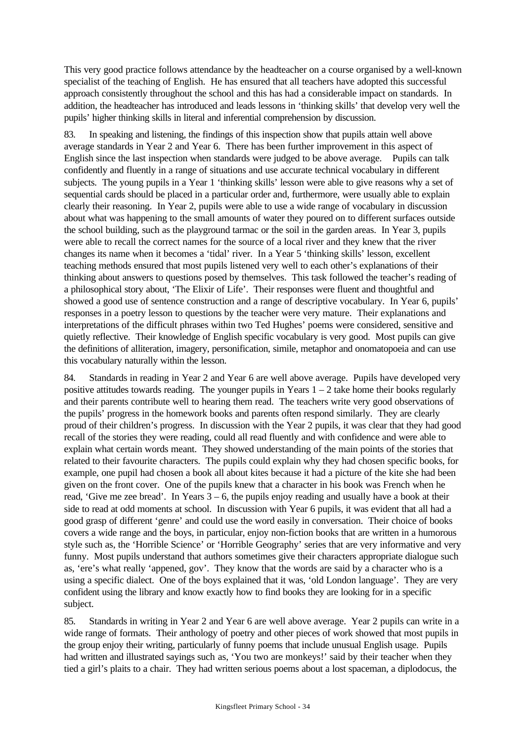This very good practice follows attendance by the headteacher on a course organised by a well-known specialist of the teaching of English. He has ensured that all teachers have adopted this successful approach consistently throughout the school and this has had a considerable impact on standards. In addition, the headteacher has introduced and leads lessons in 'thinking skills' that develop very well the pupils' higher thinking skills in literal and inferential comprehension by discussion.

83. In speaking and listening, the findings of this inspection show that pupils attain well above average standards in Year 2 and Year 6. There has been further improvement in this aspect of English since the last inspection when standards were judged to be above average. Pupils can talk confidently and fluently in a range of situations and use accurate technical vocabulary in different subjects. The young pupils in a Year 1 'thinking skills' lesson were able to give reasons why a set of sequential cards should be placed in a particular order and, furthermore, were usually able to explain clearly their reasoning. In Year 2, pupils were able to use a wide range of vocabulary in discussion about what was happening to the small amounts of water they poured on to different surfaces outside the school building, such as the playground tarmac or the soil in the garden areas. In Year 3, pupils were able to recall the correct names for the source of a local river and they knew that the river changes its name when it becomes a 'tidal' river. In a Year 5 'thinking skills' lesson, excellent teaching methods ensured that most pupils listened very well to each other's explanations of their thinking about answers to questions posed by themselves. This task followed the teacher's reading of a philosophical story about, 'The Elixir of Life'. Their responses were fluent and thoughtful and showed a good use of sentence construction and a range of descriptive vocabulary. In Year 6, pupils' responses in a poetry lesson to questions by the teacher were very mature. Their explanations and interpretations of the difficult phrases within two Ted Hughes' poems were considered, sensitive and quietly reflective. Their knowledge of English specific vocabulary is very good. Most pupils can give the definitions of alliteration, imagery, personification, simile, metaphor and onomatopoeia and can use this vocabulary naturally within the lesson.

84. Standards in reading in Year 2 and Year 6 are well above average. Pupils have developed very positive attitudes towards reading. The younger pupils in Years  $1 - 2$  take home their books regularly and their parents contribute well to hearing them read. The teachers write very good observations of the pupils' progress in the homework books and parents often respond similarly. They are clearly proud of their children's progress. In discussion with the Year 2 pupils, it was clear that they had good recall of the stories they were reading, could all read fluently and with confidence and were able to explain what certain words meant. They showed understanding of the main points of the stories that related to their favourite characters. The pupils could explain why they had chosen specific books, for example, one pupil had chosen a book all about kites because it had a picture of the kite she had been given on the front cover. One of the pupils knew that a character in his book was French when he read, 'Give me zee bread'. In Years  $3 - 6$ , the pupils enjoy reading and usually have a book at their side to read at odd moments at school. In discussion with Year 6 pupils, it was evident that all had a good grasp of different 'genre' and could use the word easily in conversation. Their choice of books covers a wide range and the boys, in particular, enjoy non-fiction books that are written in a humorous style such as, the 'Horrible Science' or 'Horrible Geography' series that are very informative and very funny. Most pupils understand that authors sometimes give their characters appropriate dialogue such as, 'ere's what really 'appened, gov'. They know that the words are said by a character who is a using a specific dialect. One of the boys explained that it was, 'old London language'. They are very confident using the library and know exactly how to find books they are looking for in a specific subject.

85. Standards in writing in Year 2 and Year 6 are well above average. Year 2 pupils can write in a wide range of formats. Their anthology of poetry and other pieces of work showed that most pupils in the group enjoy their writing, particularly of funny poems that include unusual English usage. Pupils had written and illustrated sayings such as, 'You two are monkeys!' said by their teacher when they tied a girl's plaits to a chair. They had written serious poems about a lost spaceman, a diplodocus, the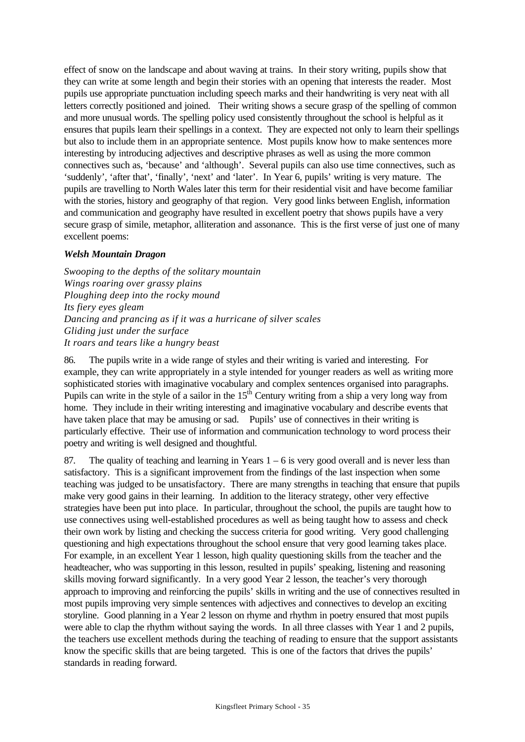effect of snow on the landscape and about waving at trains. In their story writing, pupils show that they can write at some length and begin their stories with an opening that interests the reader. Most pupils use appropriate punctuation including speech marks and their handwriting is very neat with all letters correctly positioned and joined. Their writing shows a secure grasp of the spelling of common and more unusual words. The spelling policy used consistently throughout the school is helpful as it ensures that pupils learn their spellings in a context. They are expected not only to learn their spellings but also to include them in an appropriate sentence. Most pupils know how to make sentences more interesting by introducing adjectives and descriptive phrases as well as using the more common connectives such as, 'because' and 'although'. Several pupils can also use time connectives, such as 'suddenly', 'after that', 'finally', 'next' and 'later'. In Year 6, pupils' writing is very mature. The pupils are travelling to North Wales later this term for their residential visit and have become familiar with the stories, history and geography of that region. Very good links between English, information and communication and geography have resulted in excellent poetry that shows pupils have a very secure grasp of simile, metaphor, alliteration and assonance. This is the first verse of just one of many excellent poems:

### *Welsh Mountain Dragon*

*Swooping to the depths of the solitary mountain Wings roaring over grassy plains Ploughing deep into the rocky mound Its fiery eyes gleam Dancing and prancing as if it was a hurricane of silver scales Gliding just under the surface It roars and tears like a hungry beast*

86. The pupils write in a wide range of styles and their writing is varied and interesting. For example, they can write appropriately in a style intended for younger readers as well as writing more sophisticated stories with imaginative vocabulary and complex sentences organised into paragraphs. Pupils can write in the style of a sailor in the  $15<sup>th</sup>$  Century writing from a ship a very long way from home. They include in their writing interesting and imaginative vocabulary and describe events that have taken place that may be amusing or sad. Pupils' use of connectives in their writing is particularly effective. Their use of information and communication technology to word process their poetry and writing is well designed and thoughtful.

87. The quality of teaching and learning in Years  $1 - 6$  is very good overall and is never less than satisfactory. This is a significant improvement from the findings of the last inspection when some teaching was judged to be unsatisfactory. There are many strengths in teaching that ensure that pupils make very good gains in their learning. In addition to the literacy strategy, other very effective strategies have been put into place. In particular, throughout the school, the pupils are taught how to use connectives using well-established procedures as well as being taught how to assess and check their own work by listing and checking the success criteria for good writing. Very good challenging questioning and high expectations throughout the school ensure that very good learning takes place. For example, in an excellent Year 1 lesson, high quality questioning skills from the teacher and the headteacher, who was supporting in this lesson, resulted in pupils' speaking, listening and reasoning skills moving forward significantly. In a very good Year 2 lesson, the teacher's very thorough approach to improving and reinforcing the pupils' skills in writing and the use of connectives resulted in most pupils improving very simple sentences with adjectives and connectives to develop an exciting storyline. Good planning in a Year 2 lesson on rhyme and rhythm in poetry ensured that most pupils were able to clap the rhythm without saying the words. In all three classes with Year 1 and 2 pupils, the teachers use excellent methods during the teaching of reading to ensure that the support assistants know the specific skills that are being targeted. This is one of the factors that drives the pupils' standards in reading forward.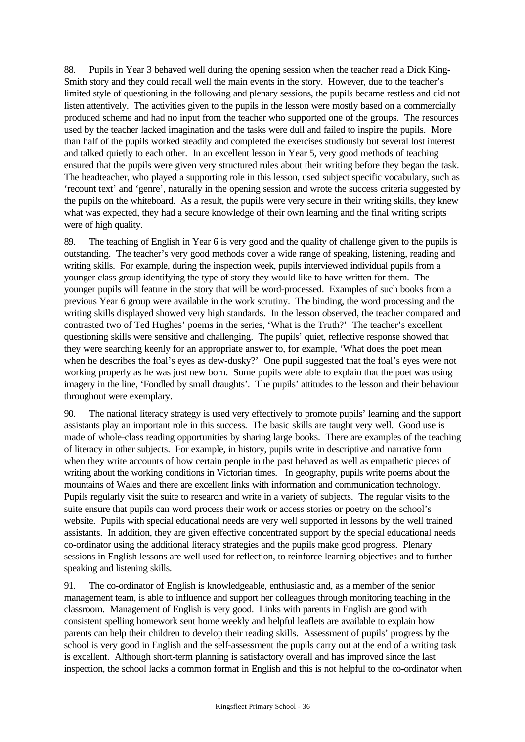88. Pupils in Year 3 behaved well during the opening session when the teacher read a Dick King-Smith story and they could recall well the main events in the story. However, due to the teacher's limited style of questioning in the following and plenary sessions, the pupils became restless and did not listen attentively. The activities given to the pupils in the lesson were mostly based on a commercially produced scheme and had no input from the teacher who supported one of the groups. The resources used by the teacher lacked imagination and the tasks were dull and failed to inspire the pupils. More than half of the pupils worked steadily and completed the exercises studiously but several lost interest and talked quietly to each other. In an excellent lesson in Year 5, very good methods of teaching ensured that the pupils were given very structured rules about their writing before they began the task. The headteacher, who played a supporting role in this lesson, used subject specific vocabulary, such as 'recount text' and 'genre', naturally in the opening session and wrote the success criteria suggested by the pupils on the whiteboard. As a result, the pupils were very secure in their writing skills, they knew what was expected, they had a secure knowledge of their own learning and the final writing scripts were of high quality.

89. The teaching of English in Year 6 is very good and the quality of challenge given to the pupils is outstanding. The teacher's very good methods cover a wide range of speaking, listening, reading and writing skills. For example, during the inspection week, pupils interviewed individual pupils from a younger class group identifying the type of story they would like to have written for them. The younger pupils will feature in the story that will be word-processed. Examples of such books from a previous Year 6 group were available in the work scrutiny. The binding, the word processing and the writing skills displayed showed very high standards. In the lesson observed, the teacher compared and contrasted two of Ted Hughes' poems in the series, 'What is the Truth?' The teacher's excellent questioning skills were sensitive and challenging. The pupils' quiet, reflective response showed that they were searching keenly for an appropriate answer to, for example, 'What does the poet mean when he describes the foal's eyes as dew-dusky?' One pupil suggested that the foal's eyes were not working properly as he was just new born. Some pupils were able to explain that the poet was using imagery in the line, 'Fondled by small draughts'. The pupils' attitudes to the lesson and their behaviour throughout were exemplary.

90. The national literacy strategy is used very effectively to promote pupils' learning and the support assistants play an important role in this success. The basic skills are taught very well. Good use is made of whole-class reading opportunities by sharing large books. There are examples of the teaching of literacy in other subjects. For example, in history, pupils write in descriptive and narrative form when they write accounts of how certain people in the past behaved as well as empathetic pieces of writing about the working conditions in Victorian times. In geography, pupils write poems about the mountains of Wales and there are excellent links with information and communication technology. Pupils regularly visit the suite to research and write in a variety of subjects. The regular visits to the suite ensure that pupils can word process their work or access stories or poetry on the school's website. Pupils with special educational needs are very well supported in lessons by the well trained assistants. In addition, they are given effective concentrated support by the special educational needs co-ordinator using the additional literacy strategies and the pupils make good progress. Plenary sessions in English lessons are well used for reflection, to reinforce learning objectives and to further speaking and listening skills.

91. The co-ordinator of English is knowledgeable, enthusiastic and, as a member of the senior management team, is able to influence and support her colleagues through monitoring teaching in the classroom. Management of English is very good. Links with parents in English are good with consistent spelling homework sent home weekly and helpful leaflets are available to explain how parents can help their children to develop their reading skills. Assessment of pupils' progress by the school is very good in English and the self-assessment the pupils carry out at the end of a writing task is excellent. Although short-term planning is satisfactory overall and has improved since the last inspection, the school lacks a common format in English and this is not helpful to the co-ordinator when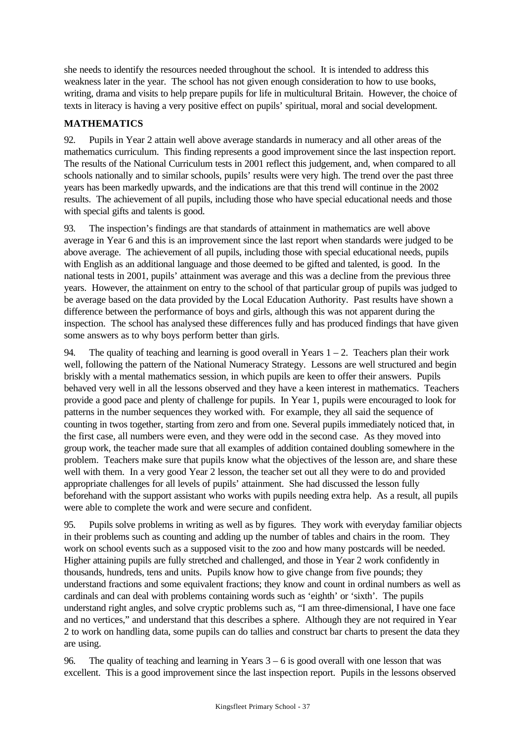she needs to identify the resources needed throughout the school. It is intended to address this weakness later in the year. The school has not given enough consideration to how to use books, writing, drama and visits to help prepare pupils for life in multicultural Britain. However, the choice of texts in literacy is having a very positive effect on pupils' spiritual, moral and social development.

# **MATHEMATICS**

92. Pupils in Year 2 attain well above average standards in numeracy and all other areas of the mathematics curriculum. This finding represents a good improvement since the last inspection report. The results of the National Curriculum tests in 2001 reflect this judgement, and, when compared to all schools nationally and to similar schools, pupils' results were very high. The trend over the past three years has been markedly upwards, and the indications are that this trend will continue in the 2002 results. The achievement of all pupils, including those who have special educational needs and those with special gifts and talents is good.

93. The inspection's findings are that standards of attainment in mathematics are well above average in Year 6 and this is an improvement since the last report when standards were judged to be above average. The achievement of all pupils, including those with special educational needs, pupils with English as an additional language and those deemed to be gifted and talented, is good. In the national tests in 2001, pupils' attainment was average and this was a decline from the previous three years. However, the attainment on entry to the school of that particular group of pupils was judged to be average based on the data provided by the Local Education Authority. Past results have shown a difference between the performance of boys and girls, although this was not apparent during the inspection. The school has analysed these differences fully and has produced findings that have given some answers as to why boys perform better than girls.

94. The quality of teaching and learning is good overall in Years  $1 - 2$ . Teachers plan their work well, following the pattern of the National Numeracy Strategy. Lessons are well structured and begin briskly with a mental mathematics session, in which pupils are keen to offer their answers. Pupils behaved very well in all the lessons observed and they have a keen interest in mathematics. Teachers provide a good pace and plenty of challenge for pupils. In Year 1, pupils were encouraged to look for patterns in the number sequences they worked with. For example, they all said the sequence of counting in twos together, starting from zero and from one. Several pupils immediately noticed that, in the first case, all numbers were even, and they were odd in the second case. As they moved into group work, the teacher made sure that all examples of addition contained doubling somewhere in the problem. Teachers make sure that pupils know what the objectives of the lesson are, and share these well with them. In a very good Year 2 lesson, the teacher set out all they were to do and provided appropriate challenges for all levels of pupils' attainment. She had discussed the lesson fully beforehand with the support assistant who works with pupils needing extra help. As a result, all pupils were able to complete the work and were secure and confident.

95. Pupils solve problems in writing as well as by figures. They work with everyday familiar objects in their problems such as counting and adding up the number of tables and chairs in the room. They work on school events such as a supposed visit to the zoo and how many postcards will be needed. Higher attaining pupils are fully stretched and challenged, and those in Year 2 work confidently in thousands, hundreds, tens and units. Pupils know how to give change from five pounds; they understand fractions and some equivalent fractions; they know and count in ordinal numbers as well as cardinals and can deal with problems containing words such as 'eighth' or 'sixth'. The pupils understand right angles, and solve cryptic problems such as, "I am three-dimensional, I have one face and no vertices," and understand that this describes a sphere. Although they are not required in Year 2 to work on handling data, some pupils can do tallies and construct bar charts to present the data they are using.

96. The quality of teaching and learning in Years  $3 - 6$  is good overall with one lesson that was excellent. This is a good improvement since the last inspection report. Pupils in the lessons observed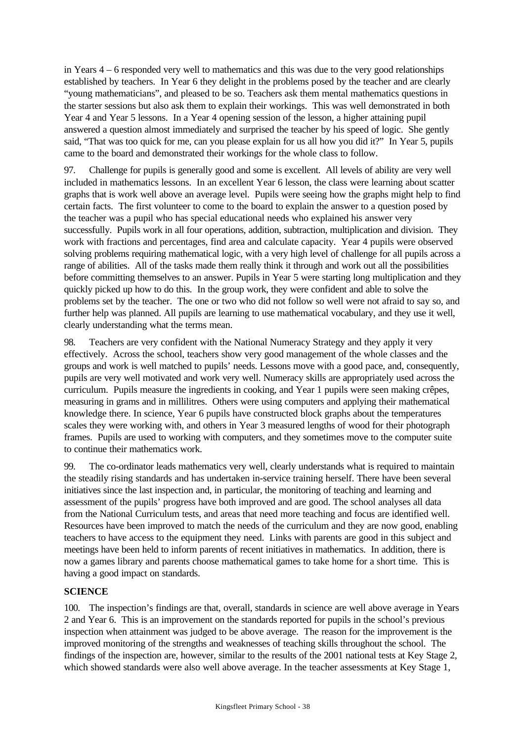in Years 4 – 6 responded very well to mathematics and this was due to the very good relationships established by teachers. In Year 6 they delight in the problems posed by the teacher and are clearly "young mathematicians", and pleased to be so. Teachers ask them mental mathematics questions in the starter sessions but also ask them to explain their workings. This was well demonstrated in both Year 4 and Year 5 lessons. In a Year 4 opening session of the lesson, a higher attaining pupil answered a question almost immediately and surprised the teacher by his speed of logic. She gently said, "That was too quick for me, can you please explain for us all how you did it?" In Year 5, pupils came to the board and demonstrated their workings for the whole class to follow.

97. Challenge for pupils is generally good and some is excellent. All levels of ability are very well included in mathematics lessons. In an excellent Year 6 lesson, the class were learning about scatter graphs that is work well above an average level. Pupils were seeing how the graphs might help to find certain facts. The first volunteer to come to the board to explain the answer to a question posed by the teacher was a pupil who has special educational needs who explained his answer very successfully. Pupils work in all four operations, addition, subtraction, multiplication and division. They work with fractions and percentages, find area and calculate capacity. Year 4 pupils were observed solving problems requiring mathematical logic, with a very high level of challenge for all pupils across a range of abilities. All of the tasks made them really think it through and work out all the possibilities before committing themselves to an answer. Pupils in Year 5 were starting long multiplication and they quickly picked up how to do this. In the group work, they were confident and able to solve the problems set by the teacher. The one or two who did not follow so well were not afraid to say so, and further help was planned. All pupils are learning to use mathematical vocabulary, and they use it well, clearly understanding what the terms mean.

98. Teachers are very confident with the National Numeracy Strategy and they apply it very effectively. Across the school, teachers show very good management of the whole classes and the groups and work is well matched to pupils' needs. Lessons move with a good pace, and, consequently, pupils are very well motivated and work very well. Numeracy skills are appropriately used across the curriculum. Pupils measure the ingredients in cooking, and Year 1 pupils were seen making crêpes, measuring in grams and in millilitres. Others were using computers and applying their mathematical knowledge there. In science, Year 6 pupils have constructed block graphs about the temperatures scales they were working with, and others in Year 3 measured lengths of wood for their photograph frames. Pupils are used to working with computers, and they sometimes move to the computer suite to continue their mathematics work.

99. The co-ordinator leads mathematics very well, clearly understands what is required to maintain the steadily rising standards and has undertaken in-service training herself. There have been several initiatives since the last inspection and, in particular, the monitoring of teaching and learning and assessment of the pupils' progress have both improved and are good. The school analyses all data from the National Curriculum tests, and areas that need more teaching and focus are identified well. Resources have been improved to match the needs of the curriculum and they are now good, enabling teachers to have access to the equipment they need. Links with parents are good in this subject and meetings have been held to inform parents of recent initiatives in mathematics. In addition, there is now a games library and parents choose mathematical games to take home for a short time. This is having a good impact on standards.

# **SCIENCE**

100. The inspection's findings are that, overall, standards in science are well above average in Years 2 and Year 6. This is an improvement on the standards reported for pupils in the school's previous inspection when attainment was judged to be above average. The reason for the improvement is the improved monitoring of the strengths and weaknesses of teaching skills throughout the school. The findings of the inspection are, however, similar to the results of the 2001 national tests at Key Stage 2, which showed standards were also well above average. In the teacher assessments at Key Stage 1,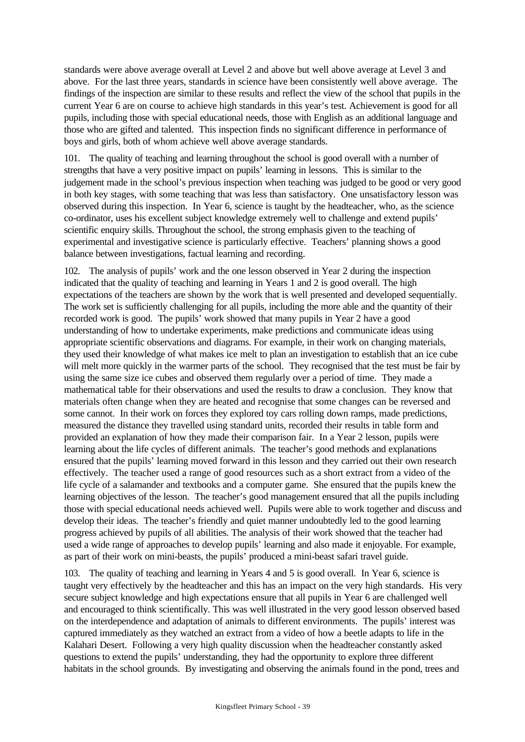standards were above average overall at Level 2 and above but well above average at Level 3 and above. For the last three years, standards in science have been consistently well above average. The findings of the inspection are similar to these results and reflect the view of the school that pupils in the current Year 6 are on course to achieve high standards in this year's test. Achievement is good for all pupils, including those with special educational needs, those with English as an additional language and those who are gifted and talented. This inspection finds no significant difference in performance of boys and girls, both of whom achieve well above average standards.

101. The quality of teaching and learning throughout the school is good overall with a number of strengths that have a very positive impact on pupils' learning in lessons. This is similar to the judgement made in the school's previous inspection when teaching was judged to be good or very good in both key stages, with some teaching that was less than satisfactory. One unsatisfactory lesson was observed during this inspection. In Year 6, science is taught by the headteacher, who, as the science co-ordinator, uses his excellent subject knowledge extremely well to challenge and extend pupils' scientific enquiry skills. Throughout the school, the strong emphasis given to the teaching of experimental and investigative science is particularly effective. Teachers' planning shows a good balance between investigations, factual learning and recording.

102. The analysis of pupils' work and the one lesson observed in Year 2 during the inspection indicated that the quality of teaching and learning in Years 1 and 2 is good overall. The high expectations of the teachers are shown by the work that is well presented and developed sequentially. The work set is sufficiently challenging for all pupils, including the more able and the quantity of their recorded work is good. The pupils' work showed that many pupils in Year 2 have a good understanding of how to undertake experiments, make predictions and communicate ideas using appropriate scientific observations and diagrams. For example, in their work on changing materials, they used their knowledge of what makes ice melt to plan an investigation to establish that an ice cube will melt more quickly in the warmer parts of the school. They recognised that the test must be fair by using the same size ice cubes and observed them regularly over a period of time. They made a mathematical table for their observations and used the results to draw a conclusion. They know that materials often change when they are heated and recognise that some changes can be reversed and some cannot. In their work on forces they explored toy cars rolling down ramps, made predictions, measured the distance they travelled using standard units, recorded their results in table form and provided an explanation of how they made their comparison fair. In a Year 2 lesson, pupils were learning about the life cycles of different animals. The teacher's good methods and explanations ensured that the pupils' learning moved forward in this lesson and they carried out their own research effectively. The teacher used a range of good resources such as a short extract from a video of the life cycle of a salamander and textbooks and a computer game. She ensured that the pupils knew the learning objectives of the lesson. The teacher's good management ensured that all the pupils including those with special educational needs achieved well. Pupils were able to work together and discuss and develop their ideas. The teacher's friendly and quiet manner undoubtedly led to the good learning progress achieved by pupils of all abilities. The analysis of their work showed that the teacher had used a wide range of approaches to develop pupils' learning and also made it enjoyable. For example, as part of their work on mini-beasts, the pupils' produced a mini-beast safari travel guide.

103. The quality of teaching and learning in Years 4 and 5 is good overall. In Year 6, science is taught very effectively by the headteacher and this has an impact on the very high standards. His very secure subject knowledge and high expectations ensure that all pupils in Year 6 are challenged well and encouraged to think scientifically. This was well illustrated in the very good lesson observed based on the interdependence and adaptation of animals to different environments. The pupils' interest was captured immediately as they watched an extract from a video of how a beetle adapts to life in the Kalahari Desert. Following a very high quality discussion when the headteacher constantly asked questions to extend the pupils' understanding, they had the opportunity to explore three different habitats in the school grounds. By investigating and observing the animals found in the pond, trees and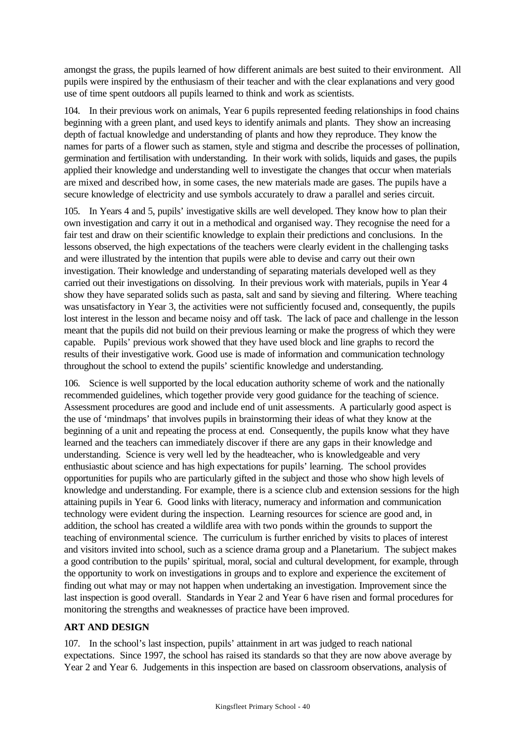amongst the grass, the pupils learned of how different animals are best suited to their environment. All pupils were inspired by the enthusiasm of their teacher and with the clear explanations and very good use of time spent outdoors all pupils learned to think and work as scientists.

104. In their previous work on animals, Year 6 pupils represented feeding relationships in food chains beginning with a green plant, and used keys to identify animals and plants. They show an increasing depth of factual knowledge and understanding of plants and how they reproduce. They know the names for parts of a flower such as stamen, style and stigma and describe the processes of pollination, germination and fertilisation with understanding. In their work with solids, liquids and gases, the pupils applied their knowledge and understanding well to investigate the changes that occur when materials are mixed and described how, in some cases, the new materials made are gases. The pupils have a secure knowledge of electricity and use symbols accurately to draw a parallel and series circuit.

105. In Years 4 and 5, pupils' investigative skills are well developed. They know how to plan their own investigation and carry it out in a methodical and organised way. They recognise the need for a fair test and draw on their scientific knowledge to explain their predictions and conclusions. In the lessons observed, the high expectations of the teachers were clearly evident in the challenging tasks and were illustrated by the intention that pupils were able to devise and carry out their own investigation. Their knowledge and understanding of separating materials developed well as they carried out their investigations on dissolving. In their previous work with materials, pupils in Year 4 show they have separated solids such as pasta, salt and sand by sieving and filtering. Where teaching was unsatisfactory in Year 3, the activities were not sufficiently focused and, consequently, the pupils lost interest in the lesson and became noisy and off task. The lack of pace and challenge in the lesson meant that the pupils did not build on their previous learning or make the progress of which they were capable. Pupils' previous work showed that they have used block and line graphs to record the results of their investigative work. Good use is made of information and communication technology throughout the school to extend the pupils' scientific knowledge and understanding.

106. Science is well supported by the local education authority scheme of work and the nationally recommended guidelines, which together provide very good guidance for the teaching of science. Assessment procedures are good and include end of unit assessments. A particularly good aspect is the use of 'mindmaps' that involves pupils in brainstorming their ideas of what they know at the beginning of a unit and repeating the process at end. Consequently, the pupils know what they have learned and the teachers can immediately discover if there are any gaps in their knowledge and understanding. Science is very well led by the headteacher, who is knowledgeable and very enthusiastic about science and has high expectations for pupils' learning. The school provides opportunities for pupils who are particularly gifted in the subject and those who show high levels of knowledge and understanding. For example, there is a science club and extension sessions for the high attaining pupils in Year 6. Good links with literacy, numeracy and information and communication technology were evident during the inspection. Learning resources for science are good and, in addition, the school has created a wildlife area with two ponds within the grounds to support the teaching of environmental science. The curriculum is further enriched by visits to places of interest and visitors invited into school, such as a science drama group and a Planetarium. The subject makes a good contribution to the pupils' spiritual, moral, social and cultural development, for example, through the opportunity to work on investigations in groups and to explore and experience the excitement of finding out what may or may not happen when undertaking an investigation. Improvement since the last inspection is good overall. Standards in Year 2 and Year 6 have risen and formal procedures for monitoring the strengths and weaknesses of practice have been improved.

### **ART AND DESIGN**

107. In the school's last inspection, pupils' attainment in art was judged to reach national expectations. Since 1997, the school has raised its standards so that they are now above average by Year 2 and Year 6. Judgements in this inspection are based on classroom observations, analysis of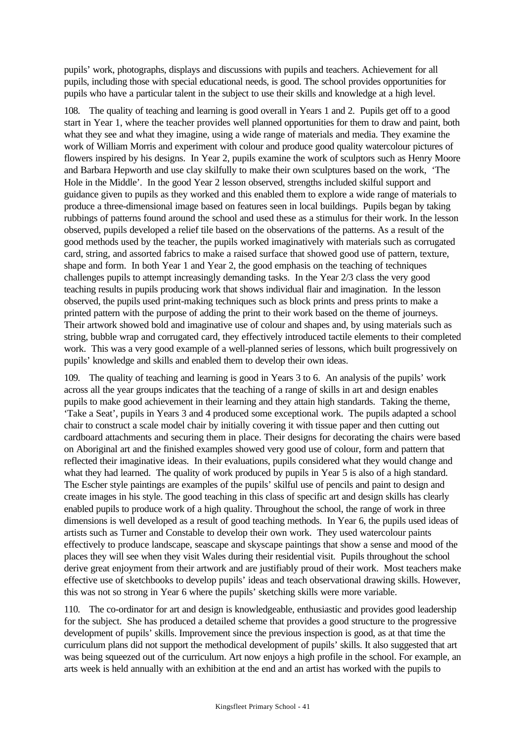pupils' work, photographs, displays and discussions with pupils and teachers. Achievement for all pupils, including those with special educational needs, is good. The school provides opportunities for pupils who have a particular talent in the subject to use their skills and knowledge at a high level.

108. The quality of teaching and learning is good overall in Years 1 and 2. Pupils get off to a good start in Year 1, where the teacher provides well planned opportunities for them to draw and paint, both what they see and what they imagine, using a wide range of materials and media. They examine the work of William Morris and experiment with colour and produce good quality watercolour pictures of flowers inspired by his designs. In Year 2, pupils examine the work of sculptors such as Henry Moore and Barbara Hepworth and use clay skilfully to make their own sculptures based on the work, 'The Hole in the Middle'. In the good Year 2 lesson observed, strengths included skilful support and guidance given to pupils as they worked and this enabled them to explore a wide range of materials to produce a three-dimensional image based on features seen in local buildings. Pupils began by taking rubbings of patterns found around the school and used these as a stimulus for their work. In the lesson observed, pupils developed a relief tile based on the observations of the patterns. As a result of the good methods used by the teacher, the pupils worked imaginatively with materials such as corrugated card, string, and assorted fabrics to make a raised surface that showed good use of pattern, texture, shape and form. In both Year 1 and Year 2, the good emphasis on the teaching of techniques challenges pupils to attempt increasingly demanding tasks. In the Year 2/3 class the very good teaching results in pupils producing work that shows individual flair and imagination. In the lesson observed, the pupils used print-making techniques such as block prints and press prints to make a printed pattern with the purpose of adding the print to their work based on the theme of journeys. Their artwork showed bold and imaginative use of colour and shapes and, by using materials such as string, bubble wrap and corrugated card, they effectively introduced tactile elements to their completed work. This was a very good example of a well-planned series of lessons, which built progressively on pupils' knowledge and skills and enabled them to develop their own ideas.

109. The quality of teaching and learning is good in Years 3 to 6. An analysis of the pupils' work across all the year groups indicates that the teaching of a range of skills in art and design enables pupils to make good achievement in their learning and they attain high standards. Taking the theme, 'Take a Seat', pupils in Years 3 and 4 produced some exceptional work. The pupils adapted a school chair to construct a scale model chair by initially covering it with tissue paper and then cutting out cardboard attachments and securing them in place. Their designs for decorating the chairs were based on Aboriginal art and the finished examples showed very good use of colour, form and pattern that reflected their imaginative ideas. In their evaluations, pupils considered what they would change and what they had learned. The quality of work produced by pupils in Year 5 is also of a high standard. The Escher style paintings are examples of the pupils' skilful use of pencils and paint to design and create images in his style. The good teaching in this class of specific art and design skills has clearly enabled pupils to produce work of a high quality. Throughout the school, the range of work in three dimensions is well developed as a result of good teaching methods. In Year 6, the pupils used ideas of artists such as Turner and Constable to develop their own work. They used watercolour paints effectively to produce landscape, seascape and skyscape paintings that show a sense and mood of the places they will see when they visit Wales during their residential visit. Pupils throughout the school derive great enjoyment from their artwork and are justifiably proud of their work. Most teachers make effective use of sketchbooks to develop pupils' ideas and teach observational drawing skills. However, this was not so strong in Year 6 where the pupils' sketching skills were more variable.

110. The co-ordinator for art and design is knowledgeable, enthusiastic and provides good leadership for the subject. She has produced a detailed scheme that provides a good structure to the progressive development of pupils' skills. Improvement since the previous inspection is good, as at that time the curriculum plans did not support the methodical development of pupils' skills. It also suggested that art was being squeezed out of the curriculum. Art now enjoys a high profile in the school. For example, an arts week is held annually with an exhibition at the end and an artist has worked with the pupils to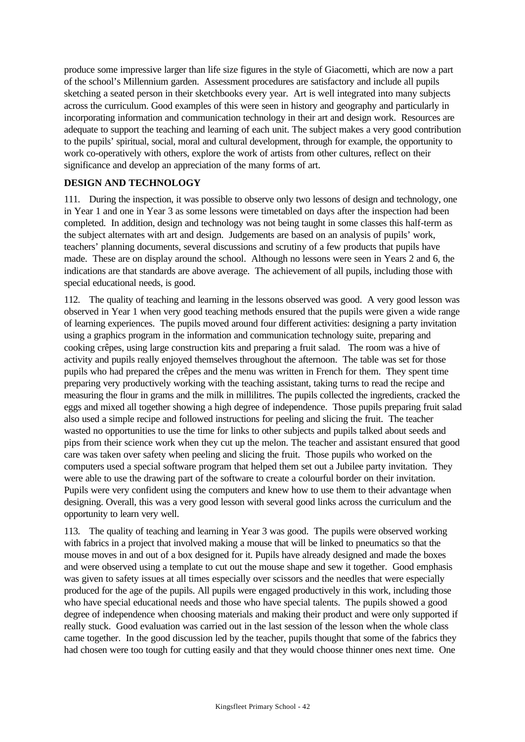produce some impressive larger than life size figures in the style of Giacometti, which are now a part of the school's Millennium garden. Assessment procedures are satisfactory and include all pupils sketching a seated person in their sketchbooks every year. Art is well integrated into many subjects across the curriculum. Good examples of this were seen in history and geography and particularly in incorporating information and communication technology in their art and design work. Resources are adequate to support the teaching and learning of each unit. The subject makes a very good contribution to the pupils' spiritual, social, moral and cultural development, through for example, the opportunity to work co-operatively with others, explore the work of artists from other cultures, reflect on their significance and develop an appreciation of the many forms of art.

### **DESIGN AND TECHNOLOGY**

111. During the inspection, it was possible to observe only two lessons of design and technology, one in Year 1 and one in Year 3 as some lessons were timetabled on days after the inspection had been completed. In addition, design and technology was not being taught in some classes this half-term as the subject alternates with art and design. Judgements are based on an analysis of pupils' work, teachers' planning documents, several discussions and scrutiny of a few products that pupils have made. These are on display around the school. Although no lessons were seen in Years 2 and 6, the indications are that standards are above average. The achievement of all pupils, including those with special educational needs, is good.

112. The quality of teaching and learning in the lessons observed was good. A very good lesson was observed in Year 1 when very good teaching methods ensured that the pupils were given a wide range of learning experiences. The pupils moved around four different activities: designing a party invitation using a graphics program in the information and communication technology suite, preparing and cooking crêpes, using large construction kits and preparing a fruit salad. The room was a hive of activity and pupils really enjoyed themselves throughout the afternoon. The table was set for those pupils who had prepared the crêpes and the menu was written in French for them. They spent time preparing very productively working with the teaching assistant, taking turns to read the recipe and measuring the flour in grams and the milk in millilitres. The pupils collected the ingredients, cracked the eggs and mixed all together showing a high degree of independence. Those pupils preparing fruit salad also used a simple recipe and followed instructions for peeling and slicing the fruit. The teacher wasted no opportunities to use the time for links to other subjects and pupils talked about seeds and pips from their science work when they cut up the melon. The teacher and assistant ensured that good care was taken over safety when peeling and slicing the fruit. Those pupils who worked on the computers used a special software program that helped them set out a Jubilee party invitation. They were able to use the drawing part of the software to create a colourful border on their invitation. Pupils were very confident using the computers and knew how to use them to their advantage when designing. Overall, this was a very good lesson with several good links across the curriculum and the opportunity to learn very well.

113. The quality of teaching and learning in Year 3 was good. The pupils were observed working with fabrics in a project that involved making a mouse that will be linked to pneumatics so that the mouse moves in and out of a box designed for it. Pupils have already designed and made the boxes and were observed using a template to cut out the mouse shape and sew it together. Good emphasis was given to safety issues at all times especially over scissors and the needles that were especially produced for the age of the pupils. All pupils were engaged productively in this work, including those who have special educational needs and those who have special talents. The pupils showed a good degree of independence when choosing materials and making their product and were only supported if really stuck. Good evaluation was carried out in the last session of the lesson when the whole class came together. In the good discussion led by the teacher, pupils thought that some of the fabrics they had chosen were too tough for cutting easily and that they would choose thinner ones next time. One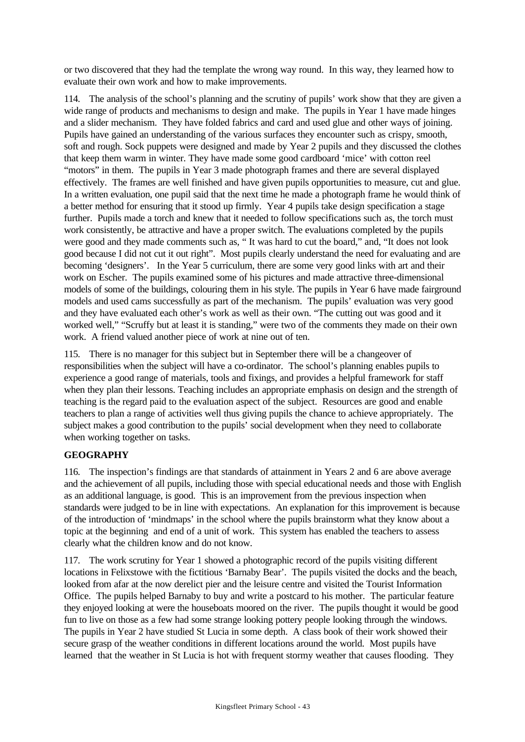or two discovered that they had the template the wrong way round. In this way, they learned how to evaluate their own work and how to make improvements.

114. The analysis of the school's planning and the scrutiny of pupils' work show that they are given a wide range of products and mechanisms to design and make. The pupils in Year 1 have made hinges and a slider mechanism. They have folded fabrics and card and used glue and other ways of joining. Pupils have gained an understanding of the various surfaces they encounter such as crispy, smooth, soft and rough. Sock puppets were designed and made by Year 2 pupils and they discussed the clothes that keep them warm in winter. They have made some good cardboard 'mice' with cotton reel "motors" in them. The pupils in Year 3 made photograph frames and there are several displayed effectively. The frames are well finished and have given pupils opportunities to measure, cut and glue. In a written evaluation, one pupil said that the next time he made a photograph frame he would think of a better method for ensuring that it stood up firmly. Year 4 pupils take design specification a stage further. Pupils made a torch and knew that it needed to follow specifications such as, the torch must work consistently, be attractive and have a proper switch. The evaluations completed by the pupils were good and they made comments such as, " It was hard to cut the board," and, "It does not look good because I did not cut it out right". Most pupils clearly understand the need for evaluating and are becoming 'designers'. In the Year 5 curriculum, there are some very good links with art and their work on Escher. The pupils examined some of his pictures and made attractive three-dimensional models of some of the buildings, colouring them in his style. The pupils in Year 6 have made fairground models and used cams successfully as part of the mechanism. The pupils' evaluation was very good and they have evaluated each other's work as well as their own. "The cutting out was good and it worked well," "Scruffy but at least it is standing," were two of the comments they made on their own work. A friend valued another piece of work at nine out of ten.

115. There is no manager for this subject but in September there will be a changeover of responsibilities when the subject will have a co-ordinator. The school's planning enables pupils to experience a good range of materials, tools and fixings, and provides a helpful framework for staff when they plan their lessons. Teaching includes an appropriate emphasis on design and the strength of teaching is the regard paid to the evaluation aspect of the subject. Resources are good and enable teachers to plan a range of activities well thus giving pupils the chance to achieve appropriately. The subject makes a good contribution to the pupils' social development when they need to collaborate when working together on tasks.

# **GEOGRAPHY**

116. The inspection's findings are that standards of attainment in Years 2 and 6 are above average and the achievement of all pupils, including those with special educational needs and those with English as an additional language, is good. This is an improvement from the previous inspection when standards were judged to be in line with expectations. An explanation for this improvement is because of the introduction of 'mindmaps' in the school where the pupils brainstorm what they know about a topic at the beginning and end of a unit of work. This system has enabled the teachers to assess clearly what the children know and do not know.

117. The work scrutiny for Year 1 showed a photographic record of the pupils visiting different locations in Felixstowe with the fictitious 'Barnaby Bear'. The pupils visited the docks and the beach, looked from afar at the now derelict pier and the leisure centre and visited the Tourist Information Office. The pupils helped Barnaby to buy and write a postcard to his mother. The particular feature they enjoyed looking at were the houseboats moored on the river. The pupils thought it would be good fun to live on those as a few had some strange looking pottery people looking through the windows. The pupils in Year 2 have studied St Lucia in some depth. A class book of their work showed their secure grasp of the weather conditions in different locations around the world. Most pupils have learned that the weather in St Lucia is hot with frequent stormy weather that causes flooding. They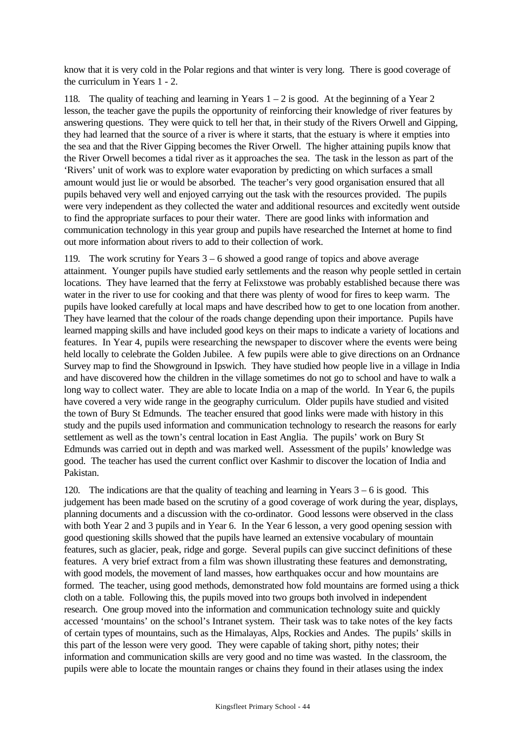know that it is very cold in the Polar regions and that winter is very long. There is good coverage of the curriculum in Years 1 - 2.

118. The quality of teaching and learning in Years  $1 - 2$  is good. At the beginning of a Year 2 lesson, the teacher gave the pupils the opportunity of reinforcing their knowledge of river features by answering questions. They were quick to tell her that, in their study of the Rivers Orwell and Gipping, they had learned that the source of a river is where it starts, that the estuary is where it empties into the sea and that the River Gipping becomes the River Orwell. The higher attaining pupils know that the River Orwell becomes a tidal river as it approaches the sea. The task in the lesson as part of the 'Rivers' unit of work was to explore water evaporation by predicting on which surfaces a small amount would just lie or would be absorbed. The teacher's very good organisation ensured that all pupils behaved very well and enjoyed carrying out the task with the resources provided. The pupils were very independent as they collected the water and additional resources and excitedly went outside to find the appropriate surfaces to pour their water. There are good links with information and communication technology in this year group and pupils have researched the Internet at home to find out more information about rivers to add to their collection of work.

119. The work scrutiny for Years 3 – 6 showed a good range of topics and above average attainment. Younger pupils have studied early settlements and the reason why people settled in certain locations. They have learned that the ferry at Felixstowe was probably established because there was water in the river to use for cooking and that there was plenty of wood for fires to keep warm. The pupils have looked carefully at local maps and have described how to get to one location from another. They have learned that the colour of the roads change depending upon their importance. Pupils have learned mapping skills and have included good keys on their maps to indicate a variety of locations and features. In Year 4, pupils were researching the newspaper to discover where the events were being held locally to celebrate the Golden Jubilee. A few pupils were able to give directions on an Ordnance Survey map to find the Showground in Ipswich. They have studied how people live in a village in India and have discovered how the children in the village sometimes do not go to school and have to walk a long way to collect water. They are able to locate India on a map of the world. In Year 6, the pupils have covered a very wide range in the geography curriculum. Older pupils have studied and visited the town of Bury St Edmunds. The teacher ensured that good links were made with history in this study and the pupils used information and communication technology to research the reasons for early settlement as well as the town's central location in East Anglia. The pupils' work on Bury St Edmunds was carried out in depth and was marked well. Assessment of the pupils' knowledge was good. The teacher has used the current conflict over Kashmir to discover the location of India and Pakistan.

120. The indications are that the quality of teaching and learning in Years  $3 - 6$  is good. This judgement has been made based on the scrutiny of a good coverage of work during the year, displays, planning documents and a discussion with the co-ordinator. Good lessons were observed in the class with both Year 2 and 3 pupils and in Year 6. In the Year 6 lesson, a very good opening session with good questioning skills showed that the pupils have learned an extensive vocabulary of mountain features, such as glacier, peak, ridge and gorge. Several pupils can give succinct definitions of these features. A very brief extract from a film was shown illustrating these features and demonstrating, with good models, the movement of land masses, how earthquakes occur and how mountains are formed. The teacher, using good methods, demonstrated how fold mountains are formed using a thick cloth on a table. Following this, the pupils moved into two groups both involved in independent research. One group moved into the information and communication technology suite and quickly accessed 'mountains' on the school's Intranet system. Their task was to take notes of the key facts of certain types of mountains, such as the Himalayas, Alps, Rockies and Andes. The pupils' skills in this part of the lesson were very good. They were capable of taking short, pithy notes; their information and communication skills are very good and no time was wasted. In the classroom, the pupils were able to locate the mountain ranges or chains they found in their atlases using the index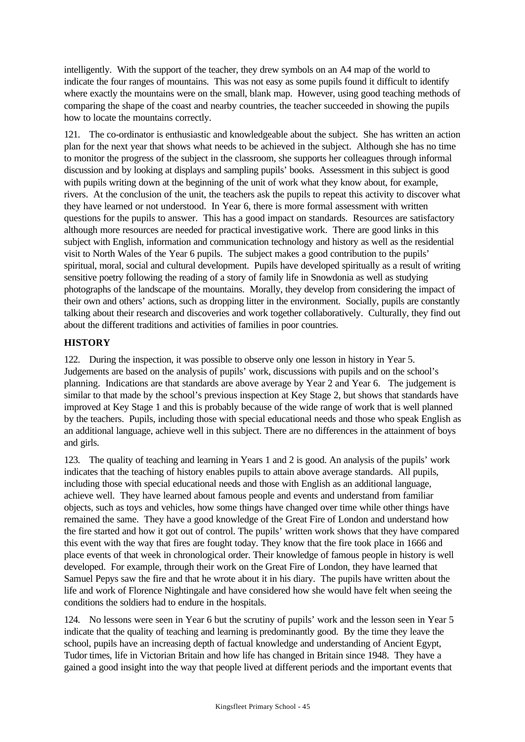intelligently. With the support of the teacher, they drew symbols on an A4 map of the world to indicate the four ranges of mountains. This was not easy as some pupils found it difficult to identify where exactly the mountains were on the small, blank map. However, using good teaching methods of comparing the shape of the coast and nearby countries, the teacher succeeded in showing the pupils how to locate the mountains correctly.

121. The co-ordinator is enthusiastic and knowledgeable about the subject. She has written an action plan for the next year that shows what needs to be achieved in the subject. Although she has no time to monitor the progress of the subject in the classroom, she supports her colleagues through informal discussion and by looking at displays and sampling pupils' books. Assessment in this subject is good with pupils writing down at the beginning of the unit of work what they know about, for example, rivers. At the conclusion of the unit, the teachers ask the pupils to repeat this activity to discover what they have learned or not understood. In Year 6, there is more formal assessment with written questions for the pupils to answer. This has a good impact on standards. Resources are satisfactory although more resources are needed for practical investigative work. There are good links in this subject with English, information and communication technology and history as well as the residential visit to North Wales of the Year 6 pupils. The subject makes a good contribution to the pupils' spiritual, moral, social and cultural development. Pupils have developed spiritually as a result of writing sensitive poetry following the reading of a story of family life in Snowdonia as well as studying photographs of the landscape of the mountains. Morally, they develop from considering the impact of their own and others' actions, such as dropping litter in the environment. Socially, pupils are constantly talking about their research and discoveries and work together collaboratively. Culturally, they find out about the different traditions and activities of families in poor countries.

# **HISTORY**

122. During the inspection, it was possible to observe only one lesson in history in Year 5. Judgements are based on the analysis of pupils' work, discussions with pupils and on the school's planning. Indications are that standards are above average by Year 2 and Year 6. The judgement is similar to that made by the school's previous inspection at Key Stage 2, but shows that standards have improved at Key Stage 1 and this is probably because of the wide range of work that is well planned by the teachers. Pupils, including those with special educational needs and those who speak English as an additional language, achieve well in this subject. There are no differences in the attainment of boys and girls.

123. The quality of teaching and learning in Years 1 and 2 is good. An analysis of the pupils' work indicates that the teaching of history enables pupils to attain above average standards. All pupils, including those with special educational needs and those with English as an additional language, achieve well. They have learned about famous people and events and understand from familiar objects, such as toys and vehicles, how some things have changed over time while other things have remained the same. They have a good knowledge of the Great Fire of London and understand how the fire started and how it got out of control. The pupils' written work shows that they have compared this event with the way that fires are fought today. They know that the fire took place in 1666 and place events of that week in chronological order. Their knowledge of famous people in history is well developed. For example, through their work on the Great Fire of London, they have learned that Samuel Pepys saw the fire and that he wrote about it in his diary. The pupils have written about the life and work of Florence Nightingale and have considered how she would have felt when seeing the conditions the soldiers had to endure in the hospitals.

124. No lessons were seen in Year 6 but the scrutiny of pupils' work and the lesson seen in Year 5 indicate that the quality of teaching and learning is predominantly good. By the time they leave the school, pupils have an increasing depth of factual knowledge and understanding of Ancient Egypt, Tudor times, life in Victorian Britain and how life has changed in Britain since 1948. They have a gained a good insight into the way that people lived at different periods and the important events that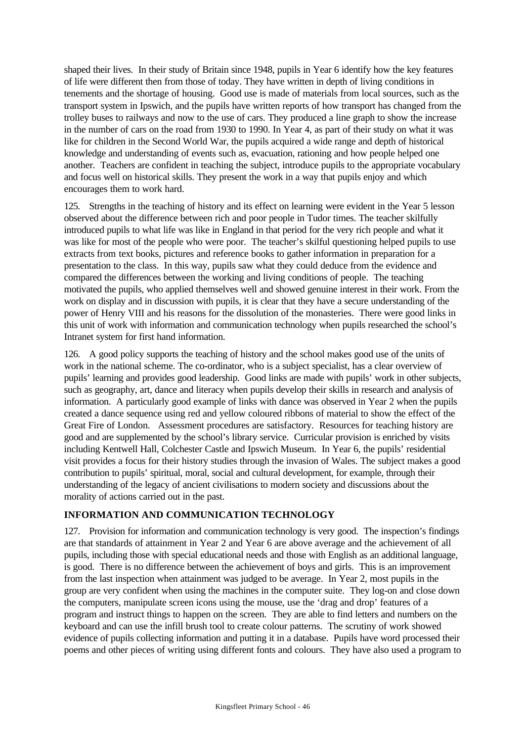shaped their lives. In their study of Britain since 1948, pupils in Year 6 identify how the key features of life were different then from those of today. They have written in depth of living conditions in tenements and the shortage of housing. Good use is made of materials from local sources, such as the transport system in Ipswich, and the pupils have written reports of how transport has changed from the trolley buses to railways and now to the use of cars. They produced a line graph to show the increase in the number of cars on the road from 1930 to 1990. In Year 4, as part of their study on what it was like for children in the Second World War, the pupils acquired a wide range and depth of historical knowledge and understanding of events such as, evacuation, rationing and how people helped one another. Teachers are confident in teaching the subject, introduce pupils to the appropriate vocabulary and focus well on historical skills. They present the work in a way that pupils enjoy and which encourages them to work hard.

125. Strengths in the teaching of history and its effect on learning were evident in the Year 5 lesson observed about the difference between rich and poor people in Tudor times. The teacher skilfully introduced pupils to what life was like in England in that period for the very rich people and what it was like for most of the people who were poor. The teacher's skilful questioning helped pupils to use extracts from text books, pictures and reference books to gather information in preparation for a presentation to the class. In this way, pupils saw what they could deduce from the evidence and compared the differences between the working and living conditions of people. The teaching motivated the pupils, who applied themselves well and showed genuine interest in their work. From the work on display and in discussion with pupils, it is clear that they have a secure understanding of the power of Henry VIII and his reasons for the dissolution of the monasteries. There were good links in this unit of work with information and communication technology when pupils researched the school's Intranet system for first hand information.

126. A good policy supports the teaching of history and the school makes good use of the units of work in the national scheme. The co-ordinator, who is a subject specialist, has a clear overview of pupils' learning and provides good leadership. Good links are made with pupils' work in other subjects, such as geography, art, dance and literacy when pupils develop their skills in research and analysis of information. A particularly good example of links with dance was observed in Year 2 when the pupils created a dance sequence using red and yellow coloured ribbons of material to show the effect of the Great Fire of London. Assessment procedures are satisfactory. Resources for teaching history are good and are supplemented by the school's library service. Curricular provision is enriched by visits including Kentwell Hall, Colchester Castle and Ipswich Museum. In Year 6, the pupils' residential visit provides a focus for their history studies through the invasion of Wales. The subject makes a good contribution to pupils' spiritual, moral, social and cultural development, for example, through their understanding of the legacy of ancient civilisations to modern society and discussions about the morality of actions carried out in the past.

# **INFORMATION AND COMMUNICATION TECHNOLOGY**

127. Provision for information and communication technology is very good. The inspection's findings are that standards of attainment in Year 2 and Year 6 are above average and the achievement of all pupils, including those with special educational needs and those with English as an additional language, is good. There is no difference between the achievement of boys and girls. This is an improvement from the last inspection when attainment was judged to be average. In Year 2, most pupils in the group are very confident when using the machines in the computer suite. They log-on and close down the computers, manipulate screen icons using the mouse, use the 'drag and drop' features of a program and instruct things to happen on the screen. They are able to find letters and numbers on the keyboard and can use the infill brush tool to create colour patterns. The scrutiny of work showed evidence of pupils collecting information and putting it in a database. Pupils have word processed their poems and other pieces of writing using different fonts and colours. They have also used a program to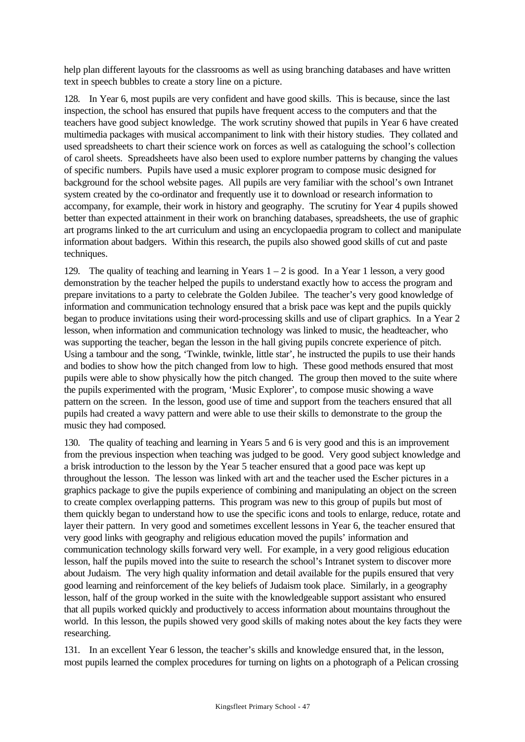help plan different layouts for the classrooms as well as using branching databases and have written text in speech bubbles to create a story line on a picture.

128. In Year 6, most pupils are very confident and have good skills. This is because, since the last inspection, the school has ensured that pupils have frequent access to the computers and that the teachers have good subject knowledge. The work scrutiny showed that pupils in Year 6 have created multimedia packages with musical accompaniment to link with their history studies. They collated and used spreadsheets to chart their science work on forces as well as cataloguing the school's collection of carol sheets. Spreadsheets have also been used to explore number patterns by changing the values of specific numbers. Pupils have used a music explorer program to compose music designed for background for the school website pages. All pupils are very familiar with the school's own Intranet system created by the co-ordinator and frequently use it to download or research information to accompany, for example, their work in history and geography. The scrutiny for Year 4 pupils showed better than expected attainment in their work on branching databases, spreadsheets, the use of graphic art programs linked to the art curriculum and using an encyclopaedia program to collect and manipulate information about badgers. Within this research, the pupils also showed good skills of cut and paste techniques.

129. The quality of teaching and learning in Years  $1 - 2$  is good. In a Year 1 lesson, a very good demonstration by the teacher helped the pupils to understand exactly how to access the program and prepare invitations to a party to celebrate the Golden Jubilee. The teacher's very good knowledge of information and communication technology ensured that a brisk pace was kept and the pupils quickly began to produce invitations using their word-processing skills and use of clipart graphics. In a Year 2 lesson, when information and communication technology was linked to music, the headteacher, who was supporting the teacher, began the lesson in the hall giving pupils concrete experience of pitch. Using a tambour and the song, 'Twinkle, twinkle, little star', he instructed the pupils to use their hands and bodies to show how the pitch changed from low to high. These good methods ensured that most pupils were able to show physically how the pitch changed. The group then moved to the suite where the pupils experimented with the program, 'Music Explorer', to compose music showing a wave pattern on the screen. In the lesson, good use of time and support from the teachers ensured that all pupils had created a wavy pattern and were able to use their skills to demonstrate to the group the music they had composed.

130. The quality of teaching and learning in Years 5 and 6 is very good and this is an improvement from the previous inspection when teaching was judged to be good. Very good subject knowledge and a brisk introduction to the lesson by the Year 5 teacher ensured that a good pace was kept up throughout the lesson. The lesson was linked with art and the teacher used the Escher pictures in a graphics package to give the pupils experience of combining and manipulating an object on the screen to create complex overlapping patterns. This program was new to this group of pupils but most of them quickly began to understand how to use the specific icons and tools to enlarge, reduce, rotate and layer their pattern. In very good and sometimes excellent lessons in Year 6, the teacher ensured that very good links with geography and religious education moved the pupils' information and communication technology skills forward very well. For example, in a very good religious education lesson, half the pupils moved into the suite to research the school's Intranet system to discover more about Judaism. The very high quality information and detail available for the pupils ensured that very good learning and reinforcement of the key beliefs of Judaism took place. Similarly, in a geography lesson, half of the group worked in the suite with the knowledgeable support assistant who ensured that all pupils worked quickly and productively to access information about mountains throughout the world. In this lesson, the pupils showed very good skills of making notes about the key facts they were researching.

131. In an excellent Year 6 lesson, the teacher's skills and knowledge ensured that, in the lesson, most pupils learned the complex procedures for turning on lights on a photograph of a Pelican crossing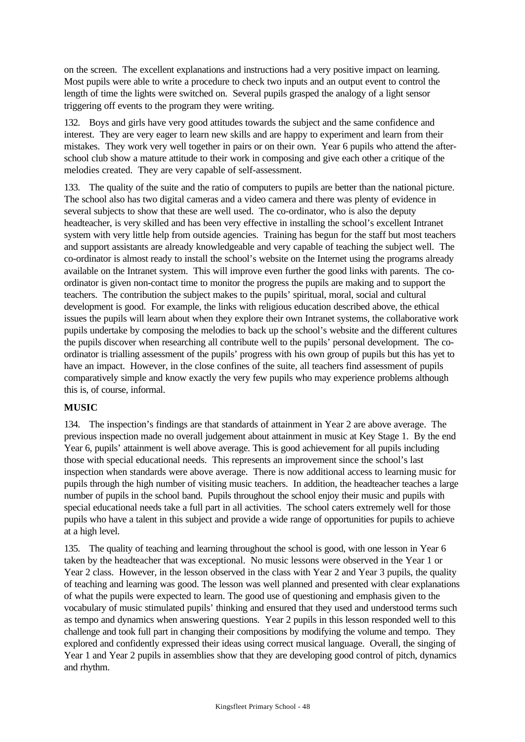on the screen. The excellent explanations and instructions had a very positive impact on learning. Most pupils were able to write a procedure to check two inputs and an output event to control the length of time the lights were switched on. Several pupils grasped the analogy of a light sensor triggering off events to the program they were writing.

132. Boys and girls have very good attitudes towards the subject and the same confidence and interest. They are very eager to learn new skills and are happy to experiment and learn from their mistakes. They work very well together in pairs or on their own. Year 6 pupils who attend the afterschool club show a mature attitude to their work in composing and give each other a critique of the melodies created. They are very capable of self-assessment.

133. The quality of the suite and the ratio of computers to pupils are better than the national picture. The school also has two digital cameras and a video camera and there was plenty of evidence in several subjects to show that these are well used. The co-ordinator, who is also the deputy headteacher, is very skilled and has been very effective in installing the school's excellent Intranet system with very little help from outside agencies. Training has begun for the staff but most teachers and support assistants are already knowledgeable and very capable of teaching the subject well. The co-ordinator is almost ready to install the school's website on the Internet using the programs already available on the Intranet system. This will improve even further the good links with parents. The coordinator is given non-contact time to monitor the progress the pupils are making and to support the teachers. The contribution the subject makes to the pupils' spiritual, moral, social and cultural development is good. For example, the links with religious education described above, the ethical issues the pupils will learn about when they explore their own Intranet systems, the collaborative work pupils undertake by composing the melodies to back up the school's website and the different cultures the pupils discover when researching all contribute well to the pupils' personal development. The coordinator is trialling assessment of the pupils' progress with his own group of pupils but this has yet to have an impact. However, in the close confines of the suite, all teachers find assessment of pupils comparatively simple and know exactly the very few pupils who may experience problems although this is, of course, informal.

# **MUSIC**

134. The inspection's findings are that standards of attainment in Year 2 are above average. The previous inspection made no overall judgement about attainment in music at Key Stage 1. By the end Year 6, pupils' attainment is well above average. This is good achievement for all pupils including those with special educational needs. This represents an improvement since the school's last inspection when standards were above average. There is now additional access to learning music for pupils through the high number of visiting music teachers. In addition, the headteacher teaches a large number of pupils in the school band. Pupils throughout the school enjoy their music and pupils with special educational needs take a full part in all activities. The school caters extremely well for those pupils who have a talent in this subject and provide a wide range of opportunities for pupils to achieve at a high level.

135. The quality of teaching and learning throughout the school is good, with one lesson in Year 6 taken by the headteacher that was exceptional. No music lessons were observed in the Year 1 or Year 2 class. However, in the lesson observed in the class with Year 2 and Year 3 pupils, the quality of teaching and learning was good. The lesson was well planned and presented with clear explanations of what the pupils were expected to learn. The good use of questioning and emphasis given to the vocabulary of music stimulated pupils' thinking and ensured that they used and understood terms such as tempo and dynamics when answering questions. Year 2 pupils in this lesson responded well to this challenge and took full part in changing their compositions by modifying the volume and tempo. They explored and confidently expressed their ideas using correct musical language. Overall, the singing of Year 1 and Year 2 pupils in assemblies show that they are developing good control of pitch, dynamics and rhythm.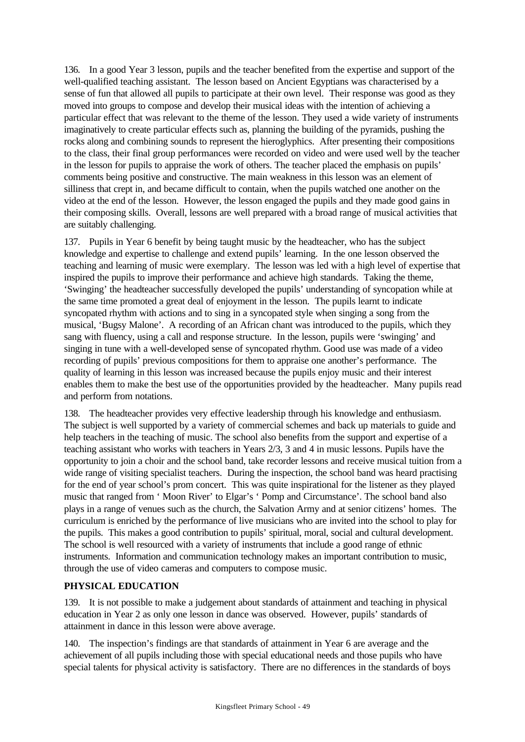136. In a good Year 3 lesson, pupils and the teacher benefited from the expertise and support of the well-qualified teaching assistant. The lesson based on Ancient Egyptians was characterised by a sense of fun that allowed all pupils to participate at their own level. Their response was good as they moved into groups to compose and develop their musical ideas with the intention of achieving a particular effect that was relevant to the theme of the lesson. They used a wide variety of instruments imaginatively to create particular effects such as, planning the building of the pyramids, pushing the rocks along and combining sounds to represent the hieroglyphics. After presenting their compositions to the class, their final group performances were recorded on video and were used well by the teacher in the lesson for pupils to appraise the work of others. The teacher placed the emphasis on pupils' comments being positive and constructive. The main weakness in this lesson was an element of silliness that crept in, and became difficult to contain, when the pupils watched one another on the video at the end of the lesson. However, the lesson engaged the pupils and they made good gains in their composing skills. Overall, lessons are well prepared with a broad range of musical activities that are suitably challenging.

137. Pupils in Year 6 benefit by being taught music by the headteacher, who has the subject knowledge and expertise to challenge and extend pupils' learning. In the one lesson observed the teaching and learning of music were exemplary. The lesson was led with a high level of expertise that inspired the pupils to improve their performance and achieve high standards. Taking the theme, 'Swinging' the headteacher successfully developed the pupils' understanding of syncopation while at the same time promoted a great deal of enjoyment in the lesson. The pupils learnt to indicate syncopated rhythm with actions and to sing in a syncopated style when singing a song from the musical, 'Bugsy Malone'. A recording of an African chant was introduced to the pupils, which they sang with fluency, using a call and response structure. In the lesson, pupils were 'swinging' and singing in tune with a well-developed sense of syncopated rhythm. Good use was made of a video recording of pupils' previous compositions for them to appraise one another's performance. The quality of learning in this lesson was increased because the pupils enjoy music and their interest enables them to make the best use of the opportunities provided by the headteacher. Many pupils read and perform from notations.

138. The headteacher provides very effective leadership through his knowledge and enthusiasm. The subject is well supported by a variety of commercial schemes and back up materials to guide and help teachers in the teaching of music. The school also benefits from the support and expertise of a teaching assistant who works with teachers in Years 2/3, 3 and 4 in music lessons. Pupils have the opportunity to join a choir and the school band, take recorder lessons and receive musical tuition from a wide range of visiting specialist teachers. During the inspection, the school band was heard practising for the end of year school's prom concert. This was quite inspirational for the listener as they played music that ranged from ' Moon River' to Elgar's ' Pomp and Circumstance'. The school band also plays in a range of venues such as the church, the Salvation Army and at senior citizens' homes. The curriculum is enriched by the performance of live musicians who are invited into the school to play for the pupils. This makes a good contribution to pupils' spiritual, moral, social and cultural development. The school is well resourced with a variety of instruments that include a good range of ethnic instruments. Information and communication technology makes an important contribution to music, through the use of video cameras and computers to compose music.

# **PHYSICAL EDUCATION**

139. It is not possible to make a judgement about standards of attainment and teaching in physical education in Year 2 as only one lesson in dance was observed. However, pupils' standards of attainment in dance in this lesson were above average.

140. The inspection's findings are that standards of attainment in Year 6 are average and the achievement of all pupils including those with special educational needs and those pupils who have special talents for physical activity is satisfactory. There are no differences in the standards of boys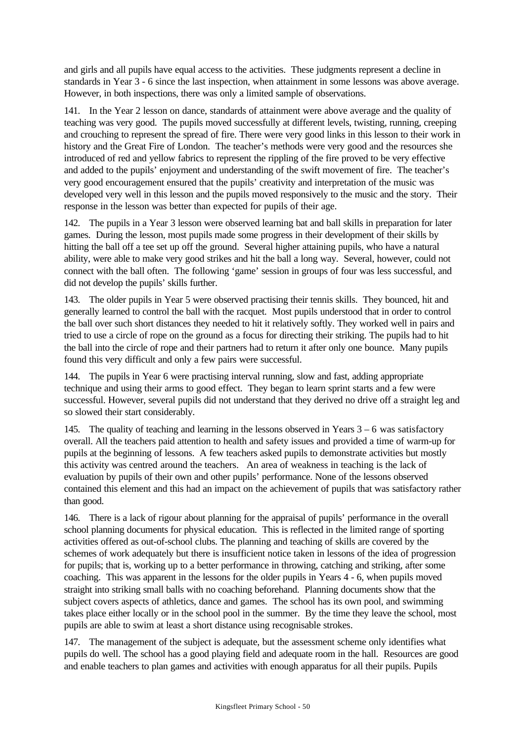and girls and all pupils have equal access to the activities. These judgments represent a decline in standards in Year 3 - 6 since the last inspection, when attainment in some lessons was above average. However, in both inspections, there was only a limited sample of observations.

141. In the Year 2 lesson on dance, standards of attainment were above average and the quality of teaching was very good. The pupils moved successfully at different levels, twisting, running, creeping and crouching to represent the spread of fire. There were very good links in this lesson to their work in history and the Great Fire of London. The teacher's methods were very good and the resources she introduced of red and yellow fabrics to represent the rippling of the fire proved to be very effective and added to the pupils' enjoyment and understanding of the swift movement of fire. The teacher's very good encouragement ensured that the pupils' creativity and interpretation of the music was developed very well in this lesson and the pupils moved responsively to the music and the story. Their response in the lesson was better than expected for pupils of their age.

142. The pupils in a Year 3 lesson were observed learning bat and ball skills in preparation for later games. During the lesson, most pupils made some progress in their development of their skills by hitting the ball off a tee set up off the ground. Several higher attaining pupils, who have a natural ability, were able to make very good strikes and hit the ball a long way. Several, however, could not connect with the ball often. The following 'game' session in groups of four was less successful, and did not develop the pupils' skills further.

143. The older pupils in Year 5 were observed practising their tennis skills. They bounced, hit and generally learned to control the ball with the racquet. Most pupils understood that in order to control the ball over such short distances they needed to hit it relatively softly. They worked well in pairs and tried to use a circle of rope on the ground as a focus for directing their striking. The pupils had to hit the ball into the circle of rope and their partners had to return it after only one bounce. Many pupils found this very difficult and only a few pairs were successful.

144. The pupils in Year 6 were practising interval running, slow and fast, adding appropriate technique and using their arms to good effect. They began to learn sprint starts and a few were successful. However, several pupils did not understand that they derived no drive off a straight leg and so slowed their start considerably.

145. The quality of teaching and learning in the lessons observed in Years  $3 - 6$  was satisfactory overall. All the teachers paid attention to health and safety issues and provided a time of warm-up for pupils at the beginning of lessons. A few teachers asked pupils to demonstrate activities but mostly this activity was centred around the teachers. An area of weakness in teaching is the lack of evaluation by pupils of their own and other pupils' performance. None of the lessons observed contained this element and this had an impact on the achievement of pupils that was satisfactory rather than good.

146. There is a lack of rigour about planning for the appraisal of pupils' performance in the overall school planning documents for physical education. This is reflected in the limited range of sporting activities offered as out-of-school clubs. The planning and teaching of skills are covered by the schemes of work adequately but there is insufficient notice taken in lessons of the idea of progression for pupils; that is, working up to a better performance in throwing, catching and striking, after some coaching. This was apparent in the lessons for the older pupils in Years 4 - 6, when pupils moved straight into striking small balls with no coaching beforehand. Planning documents show that the subject covers aspects of athletics, dance and games. The school has its own pool, and swimming takes place either locally or in the school pool in the summer. By the time they leave the school, most pupils are able to swim at least a short distance using recognisable strokes.

147. The management of the subject is adequate, but the assessment scheme only identifies what pupils do well. The school has a good playing field and adequate room in the hall. Resources are good and enable teachers to plan games and activities with enough apparatus for all their pupils. Pupils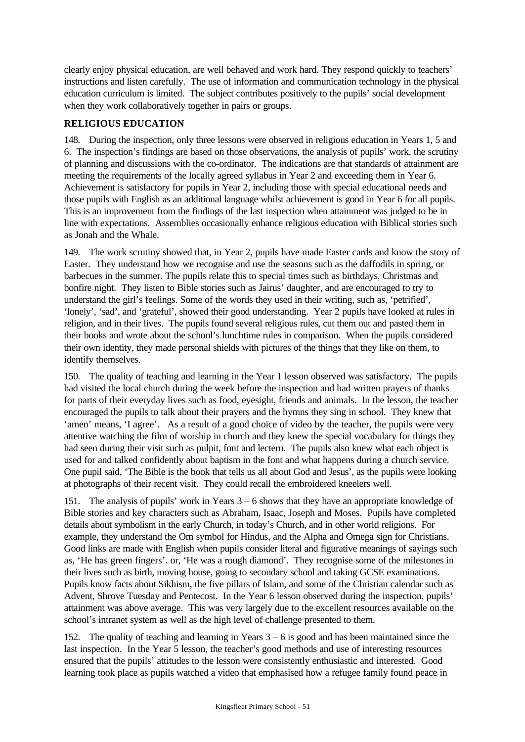clearly enjoy physical education, are well behaved and work hard. They respond quickly to teachers' instructions and listen carefully. The use of information and communication technology in the physical education curriculum is limited. The subject contributes positively to the pupils' social development when they work collaboratively together in pairs or groups.

### **RELIGIOUS EDUCATION**

148. During the inspection, only three lessons were observed in religious education in Years 1, 5 and 6. The inspection's findings are based on those observations, the analysis of pupils' work, the scrutiny of planning and discussions with the co-ordinator. The indications are that standards of attainment are meeting the requirements of the locally agreed syllabus in Year 2 and exceeding them in Year 6. Achievement is satisfactory for pupils in Year 2, including those with special educational needs and those pupils with English as an additional language whilst achievement is good in Year 6 for all pupils. This is an improvement from the findings of the last inspection when attainment was judged to be in line with expectations. Assemblies occasionally enhance religious education with Biblical stories such as Jonah and the Whale.

149. The work scrutiny showed that, in Year 2, pupils have made Easter cards and know the story of Easter. They understand how we recognise and use the seasons such as the daffodils in spring, or barbecues in the summer. The pupils relate this to special times such as birthdays, Christmas and bonfire night. They listen to Bible stories such as Jairus' daughter, and are encouraged to try to understand the girl's feelings. Some of the words they used in their writing, such as, 'petrified', 'lonely', 'sad', and 'grateful', showed their good understanding. Year 2 pupils have looked at rules in religion, and in their lives. The pupils found several religious rules, cut them out and pasted them in their books and wrote about the school's lunchtime rules in comparison. When the pupils considered their own identity, they made personal shields with pictures of the things that they like on them, to identify themselves.

150. The quality of teaching and learning in the Year 1 lesson observed was satisfactory. The pupils had visited the local church during the week before the inspection and had written prayers of thanks for parts of their everyday lives such as food, eyesight, friends and animals. In the lesson, the teacher encouraged the pupils to talk about their prayers and the hymns they sing in school. They knew that 'amen' means, 'I agree'. As a result of a good choice of video by the teacher, the pupils were very attentive watching the film of worship in church and they knew the special vocabulary for things they had seen during their visit such as pulpit, font and lectern. The pupils also knew what each object is used for and talked confidently about baptism in the font and what happens during a church service. One pupil said, 'The Bible is the book that tells us all about God and Jesus', as the pupils were looking at photographs of their recent visit. They could recall the embroidered kneelers well.

151. The analysis of pupils' work in Years 3 – 6 shows that they have an appropriate knowledge of Bible stories and key characters such as Abraham, Isaac, Joseph and Moses. Pupils have completed details about symbolism in the early Church, in today's Church, and in other world religions. For example, they understand the Om symbol for Hindus, and the Alpha and Omega sign for Christians. Good links are made with English when pupils consider literal and figurative meanings of sayings such as, 'He has green fingers'. or, 'He was a rough diamond'. They recognise some of the milestones in their lives such as birth, moving house, going to secondary school and taking GCSE examinations. Pupils know facts about Sikhism, the five pillars of Islam, and some of the Christian calendar such as Advent, Shrove Tuesday and Pentecost. In the Year 6 lesson observed during the inspection, pupils' attainment was above average. This was very largely due to the excellent resources available on the school's intranet system as well as the high level of challenge presented to them.

152. The quality of teaching and learning in Years 3 – 6 is good and has been maintained since the last inspection. In the Year 5 lesson, the teacher's good methods and use of interesting resources ensured that the pupils' attitudes to the lesson were consistently enthusiastic and interested. Good learning took place as pupils watched a video that emphasised how a refugee family found peace in